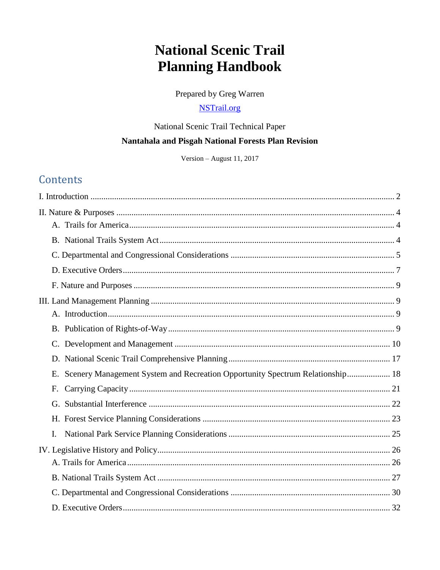# **National Scenic Trail Planning Handbook**

Prepared by Greg Warren

## **NSTrail.org**

## National Scenic Trail Technical Paper Nantahala and Pisgah National Forests Plan Revision

Version - August 11, 2017

## **Contents**

| $\mathbf{C}$ .                                                                      |
|-------------------------------------------------------------------------------------|
|                                                                                     |
| Scenery Management System and Recreation Opportunity Spectrum Relationship 18<br>E. |
| F.                                                                                  |
|                                                                                     |
|                                                                                     |
| $\mathbf{I}$ .                                                                      |
|                                                                                     |
|                                                                                     |
|                                                                                     |
|                                                                                     |
|                                                                                     |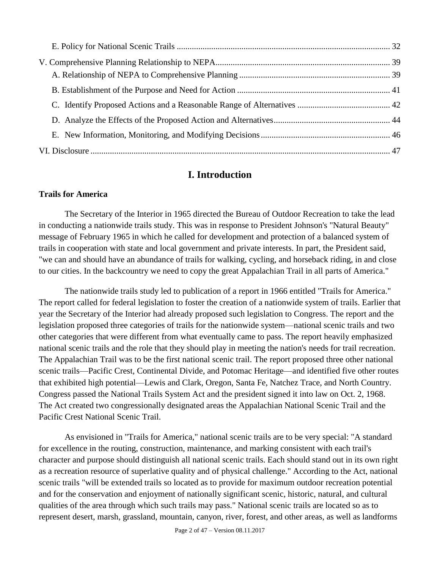## **I. Introduction**

#### <span id="page-1-0"></span>**Trails for America**

The Secretary of the Interior in 1965 directed the Bureau of Outdoor Recreation to take the lead in conducting a nationwide trails study. This was in response to President Johnson's "Natural Beauty" message of February 1965 in which he called for development and protection of a balanced system of trails in cooperation with state and local government and private interests. In part, the President said, "we can and should have an abundance of trails for walking, cycling, and horseback riding, in and close to our cities. In the backcountry we need to copy the great Appalachian Trail in all parts of America."

The nationwide trails study led to publication of a report in 1966 entitled "Trails for America." The report called for federal legislation to foster the creation of a nationwide system of trails. Earlier that year the Secretary of the Interior had already proposed such legislation to Congress. The report and the legislation proposed three categories of trails for the nationwide system—national scenic trails and two other categories that were different from what eventually came to pass. The report heavily emphasized national scenic trails and the role that they should play in meeting the nation's needs for trail recreation. The Appalachian Trail was to be the first national scenic trail. The report proposed three other national scenic trails—Pacific Crest, Continental Divide, and Potomac Heritage—and identified five other routes that exhibited high potential—Lewis and Clark, Oregon, Santa Fe, Natchez Trace, and North Country. Congress passed the National Trails System Act and the president signed it into law on Oct. 2, 1968. The Act created two congressionally designated areas the Appalachian National Scenic Trail and the Pacific Crest National Scenic Trail.

As envisioned in "Trails for America," national scenic trails are to be very special: "A standard for excellence in the routing, construction, maintenance, and marking consistent with each trail's character and purpose should distinguish all national scenic trails. Each should stand out in its own right as a recreation resource of superlative quality and of physical challenge." According to the Act, national scenic trails "will be extended trails so located as to provide for maximum outdoor recreation potential and for the conservation and enjoyment of nationally significant scenic, historic, natural, and cultural qualities of the area through which such trails may pass." National scenic trails are located so as to represent desert, marsh, grassland, mountain, canyon, river, forest, and other areas, as well as landforms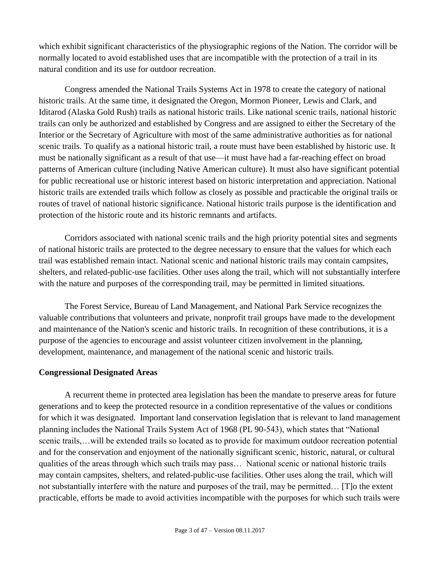which exhibit significant characteristics of the physiographic regions of the Nation. The corridor will be normally located to avoid established uses that are incompatible with the protection of a trail in its natural condition and its use for outdoor recreation.

Congress amended the National Trails Systems Act in 1978 to create the category of national historic trails. At the same time, it designated the Oregon, Mormon Pioneer, Lewis and Clark, and Iditarod (Alaska Gold Rush) trails as national historic trails. Like national scenic trails, national historic trails can only be authorized and established by Congress and are assigned to either the Secretary of the Interior or the Secretary of Agriculture with most of the same administrative authorities as for national scenic trails. To qualify as a national historic trail, a route must have been established by historic use. It must be nationally significant as a result of that use—it must have had a far-reaching effect on broad patterns of American culture (including Native American culture). It must also have significant potential for public recreational use or historic interest based on historic interpretation and appreciation. National historic trails are extended trails which follow as closely as possible and practicable the original trails or routes of travel of national historic significance. National historic trails purpose is the identification and protection of the historic route and its historic remnants and artifacts.

Corridors associated with national scenic trails and the high priority potential sites and segments of national historic trails are protected to the degree necessary to ensure that the values for which each trail was established remain intact. National scenic and national historic trails may contain campsites, shelters, and related-public-use facilities. Other uses along the trail, which will not substantially interfere with the nature and purposes of the corresponding trail, may be permitted in limited situations.

The Forest Service, Bureau of Land Management, and National Park Service recognizes the valuable contributions that volunteers and private, nonprofit trail groups have made to the development and maintenance of the Nation's scenic and historic trails. In recognition of these contributions, it is a purpose of the agencies to encourage and assist volunteer citizen involvement in the planning, development, maintenance, and management of the national scenic and historic trails.

#### **Congressional Designated Areas**

A recurrent theme in protected area legislation has been the mandate to preserve areas for future generations and to keep the protected resource in a condition representative of the values or conditions for which it was designated. Important land conservation legislation that is relevant to land management planning includes the National Trails System Act of 1968 (PL 90-543), which states that "National scenic trails,…will be extended trails so located as to provide for maximum outdoor recreation potential and for the conservation and enjoyment of the nationally significant scenic, historic, natural, or cultural qualities of the areas through which such trails may pass… National scenic or national historic trails may contain campsites, shelters, and related-public-use facilities. Other uses along the trail, which will not substantially interfere with the nature and purposes of the trail, may be permitted… [T]o the extent practicable, efforts be made to avoid activities incompatible with the purposes for which such trails were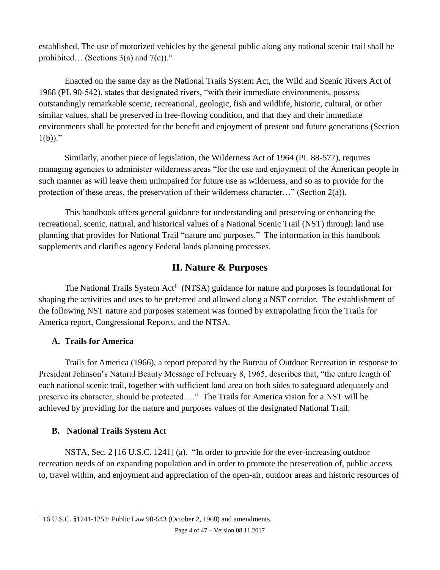established. The use of motorized vehicles by the general public along any national scenic trail shall be prohibited... (Sections  $3(a)$  and  $7(c)$ )."

Enacted on the same day as the National Trails System Act, the Wild and Scenic Rivers Act of 1968 (PL 90-542), states that designated rivers, "with their immediate environments, possess outstandingly remarkable scenic, recreational, geologic, fish and wildlife, historic, cultural, or other similar values, shall be preserved in free-flowing condition, and that they and their immediate environments shall be protected for the benefit and enjoyment of present and future generations (Section  $1(b)$ )."

Similarly, another piece of legislation, the Wilderness Act of 1964 (PL 88-577), requires managing agencies to administer wilderness areas "for the use and enjoyment of the American people in such manner as will leave them unimpaired for future use as wilderness, and so as to provide for the protection of these areas, the preservation of their wilderness character…" (Section 2(a)).

This handbook offers general guidance for understanding and preserving or enhancing the recreational, scenic, natural, and historical values of a National Scenic Trail (NST) through land use planning that provides for National Trail "nature and purposes." The information in this handbook supplements and clarifies agency Federal lands planning processes.

## <span id="page-3-3"></span>**II. Nature & Purposes**

<span id="page-3-0"></span>The National Trails System Act**<sup>1</sup>** (NTSA) guidance for nature and purposes is foundational for shaping the activities and uses to be preferred and allowed along a NST corridor. The establishment of the following NST nature and purposes statement was formed by extrapolating from the Trails for America report, Congressional Reports, and the NTSA.

#### <span id="page-3-1"></span>**A. Trails for America**

Trails for America (1966), a report prepared by the Bureau of Outdoor Recreation in response to President Johnson's Natural Beauty Message of February 8, 1965, describes that, "the entire length of each national scenic trail, together with sufficient land area on both sides to safeguard adequately and preserve its character, should be protected…." The Trails for America vision for a NST will be achieved by providing for the nature and purposes values of the designated National Trail.

#### <span id="page-3-2"></span>**B. National Trails System Act**

 $\overline{a}$ 

NSTA, Sec. 2 [16 U.S.C. 1241] (a). "In order to provide for the ever-increasing outdoor recreation needs of an expanding population and in order to promote the preservation of, public access to, travel within, and enjoyment and appreciation of the open-air, outdoor areas and historic resources of

<sup>&</sup>lt;sup>1</sup> 16 U.S.C. §1241-1251: Public Law 90-543 (October 2, 1968) and amendments.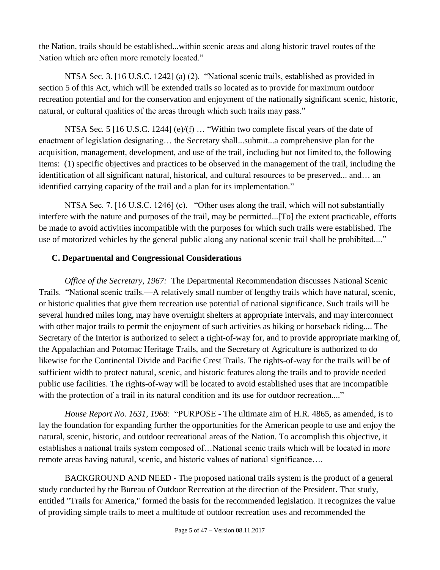the Nation, trails should be established...within scenic areas and along historic travel routes of the Nation which are often more remotely located."

NTSA Sec. 3. [16 U.S.C. 1242] (a) (2). "National scenic trails, established as provided in section 5 of this Act, which will be extended trails so located as to provide for maximum outdoor recreation potential and for the conservation and enjoyment of the nationally significant scenic, historic, natural, or cultural qualities of the areas through which such trails may pass."

NTSA Sec. 5 [16 U.S.C. 1244] (e)/(f) ... "Within two complete fiscal years of the date of enactment of legislation designating… the Secretary shall...submit...a comprehensive plan for the acquisition, management, development, and use of the trail, including but not limited to, the following items: (1) specific objectives and practices to be observed in the management of the trail, including the identification of all significant natural, historical, and cultural resources to be preserved... and… an identified carrying capacity of the trail and a plan for its implementation."

NTSA Sec. 7. [16 U.S.C. 1246] (c). "Other uses along the trail, which will not substantially interfere with the nature and purposes of the trail, may be permitted...[To] the extent practicable, efforts be made to avoid activities incompatible with the purposes for which such trails were established. The use of motorized vehicles by the general public along any national scenic trail shall be prohibited...."

### <span id="page-4-0"></span>**C. Departmental and Congressional Considerations**

*Office of the Secretary, 1967:* The Departmental Recommendation discusses National Scenic Trails. "National scenic trails.—A relatively small number of lengthy trails which have natural, scenic, or historic qualities that give them recreation use potential of national significance. Such trails will be several hundred miles long, may have overnight shelters at appropriate intervals, and may interconnect with other major trails to permit the enjoyment of such activities as hiking or horseback riding.... The Secretary of the Interior is authorized to select a right-of-way for, and to provide appropriate marking of, the Appalachian and Potomac Heritage Trails, and the Secretary of Agriculture is authorized to do likewise for the Continental Divide and Pacific Crest Trails. The rights-of-way for the trails will be of sufficient width to protect natural, scenic, and historic features along the trails and to provide needed public use facilities. The rights-of-way will be located to avoid established uses that are incompatible with the protection of a trail in its natural condition and its use for outdoor recreation...."

*House Report No. 1631, 1968*: "PURPOSE - The ultimate aim of H.R. 4865, as amended, is to lay the foundation for expanding further the opportunities for the American people to use and enjoy the natural, scenic, historic, and outdoor recreational areas of the Nation. To accomplish this objective, it establishes a national trails system composed of…National scenic trails which will be located in more remote areas having natural, scenic, and historic values of national significance….

BACKGROUND AND NEED - The proposed national trails system is the product of a general study conducted by the Bureau of Outdoor Recreation at the direction of the President. That study, entitled "Trails for America," formed the basis for the recommended legislation. It recognizes the value of providing simple trails to meet a multitude of outdoor recreation uses and recommended the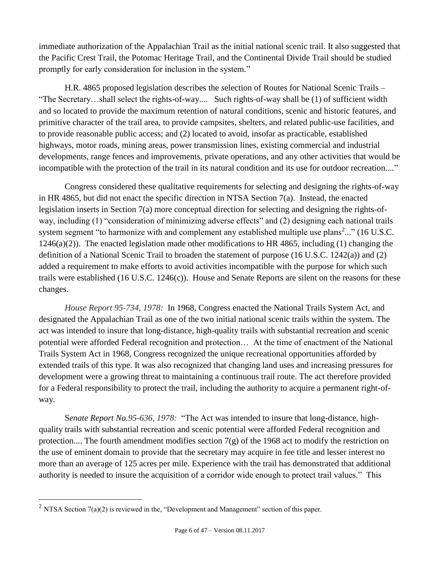immediate authorization of the Appalachian Trail as the initial national scenic trail. It also suggested that the Pacific Crest Trail, the Potomac Heritage Trail, and the Continental Divide Trail should be studied promptly for early consideration for inclusion in the system."

H.R. 4865 proposed legislation describes the *s*election of Routes for National Scenic Trails – "The Secretary…shall select the rights-of-way.... Such rights-of-way shall be (1) of sufficient width and so located to provide the maximum retention of natural conditions, scenic and historic features, and primitive character of the trail area, to provide campsites, shelters, and related public-use facilities, and to provide reasonable public access; and (2) located to avoid, insofar as practicable, established highways, motor roads, mining areas, power transmission lines, existing commercial and industrial developments, range fences and improvements, private operations, and any other activities that would be incompatible with the protection of the trail in its natural condition and its use for outdoor recreation...."

Congress considered these qualitative requirements for selecting and designing the rights-of-way in HR 4865, but did not enact the specific direction in NTSA Section 7(a). Instead, the enacted legislation inserts in Section 7(a) more conceptual direction for selecting and designing the rights-ofway, including (1) "consideration of minimizing adverse effects" and (2) designing each national trails system segment "to harmonize with and complement any established multiple use plans<sup>2</sup>..." (16 U.S.C. 1246(a)(2)). The enacted legislation made other modifications to HR 4865, including (1) changing the definition of a National Scenic Trail to broaden the statement of purpose (16 U.S.C. 1242(a)) and (2) added a requirement to make efforts to avoid activities incompatible with the purpose for which such trails were established (16 U.S.C. 1246(c)). House and Senate Reports are silent on the reasons for these changes.

*House Report 95-734, 1978:* In 1968, Congress enacted the National Trails System Act, and designated the Appalachian Trail as one of the two initial national scenic trails within the system. The act was intended to insure that long-distance, high-quality trails with substantial recreation and scenic potential were afforded Federal recognition and protection… At the time of enactment of the National Trails System Act in 1968, Congress recognized the unique recreational opportunities afforded by extended trails of this type. It was also recognized that changing land uses and increasing pressures for development were a growing threat to maintaining a continuous trail route. The act therefore provided for a Federal responsibility to protect the trail, including the authority to acquire a permanent right-ofway.

S*enate Report No.95-636, 1978:* "The Act was intended to insure that long-distance, highquality trails with substantial recreation and scenic potential were afforded Federal recognition and protection.... The fourth amendment modifies section  $7(g)$  of the 1968 act to modify the restriction on the use of eminent domain to provide that the secretary may acquire in fee title and lesser interest no more than an average of 125 acres per mile. Experience with the trail has demonstrated that additional authority is needed to insure the acquisition of a corridor wide enough to protect trail values." This

 $\overline{a}$ 

<sup>&</sup>lt;sup>2</sup> NTSA Section  $7(a)(2)$  is reviewed in the, "Development and Management" section of this paper.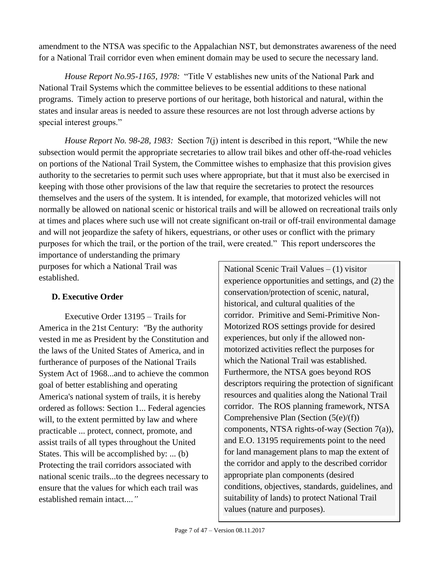amendment to the NTSA was specific to the Appalachian NST, but demonstrates awareness of the need for a National Trail corridor even when eminent domain may be used to secure the necessary land.

*House Report No.95-1165, 1978:* "Title V establishes new units of the National Park and National Trail Systems which the committee believes to be essential additions to these national programs. Timely action to preserve portions of our heritage, both historical and natural, within the states and insular areas is needed to assure these resources are not lost through adverse actions by special interest groups."

*House Report No. 98-28, 1983:* Section 7(j) intent is described in this report, "While the new subsection would permit the appropriate secretaries to allow trail bikes and other off-the-road vehicles on portions of the National Trail System, the Committee wishes to emphasize that this provision gives authority to the secretaries to permit such uses where appropriate, but that it must also be exercised in keeping with those other provisions of the law that require the secretaries to protect the resources themselves and the users of the system. It is intended, for example, that motorized vehicles will not normally be allowed on national scenic or historical trails and will be allowed on recreational trails only at times and places where such use will not create significant on-trail or off-trail environmental damage and will not jeopardize the safety of hikers, equestrians, or other uses or conflict with the primary purposes for which the trail, or the portion of the trail, were created." This report underscores the

importance of understanding the primary purposes for which a National Trail was established.

## <span id="page-6-0"></span>**D. Executive Order**

Executive Order 13195 – Trails for America in the 21st Century: *"*By the authority vested in me as President by the Constitution and the laws of the United States of America, and in furtherance of purposes of the National Trails System Act of 1968...and to achieve the common goal of better establishing and operating America's national system of trails, it is hereby ordered as follows: Section 1... Federal agencies will, to the extent permitted by law and where practicable ... protect, connect, promote, and assist trails of all types throughout the United States. This will be accomplished by: ... (b) Protecting the trail corridors associated with national scenic trails...to the degrees necessary to ensure that the values for which each trail was established remain intact....*"*

National Scenic Trail Values – (1) visitor experience opportunities and settings, and (2) the conservation/protection of scenic, natural, historical, and cultural qualities of the corridor. Primitive and Semi-Primitive Non-Motorized ROS settings provide for desired experiences, but only if the allowed nonmotorized activities reflect the purposes for which the National Trail was established. Furthermore, the NTSA goes beyond ROS descriptors requiring the protection of significant resources and qualities along the National Trail corridor. The ROS planning framework, NTSA Comprehensive Plan (Section (5(e)/(f)) components, NTSA rights-of-way (Section 7(a)), and E.O. 13195 requirements point to the need for land management plans to map the extent of the corridor and apply to the described corridor appropriate plan components (desired conditions, objectives, standards, guidelines, and suitability of lands) to protect National Trail values (nature and purposes).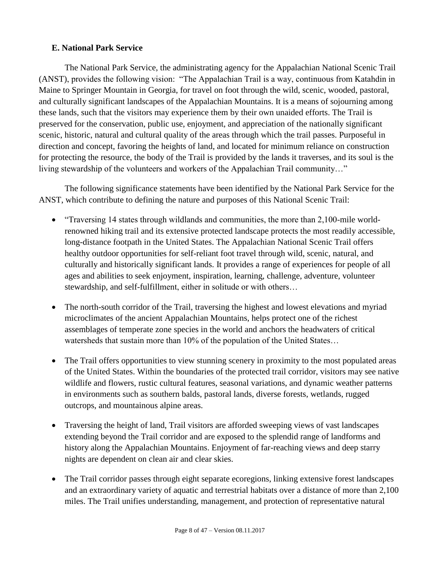#### **E. National Park Service**

The National Park Service, the administrating agency for the Appalachian National Scenic Trail (ANST), provides the following vision: "The Appalachian Trail is a way, continuous from Katahdin in Maine to Springer Mountain in Georgia, for travel on foot through the wild, scenic, wooded, pastoral, and culturally significant landscapes of the Appalachian Mountains. It is a means of sojourning among these lands, such that the visitors may experience them by their own unaided efforts. The Trail is preserved for the conservation, public use, enjoyment, and appreciation of the nationally significant scenic, historic, natural and cultural quality of the areas through which the trail passes. Purposeful in direction and concept, favoring the heights of land, and located for minimum reliance on construction for protecting the resource, the body of the Trail is provided by the lands it traverses, and its soul is the living stewardship of the volunteers and workers of the Appalachian Trail community…"

The following significance statements have been identified by the National Park Service for the ANST, which contribute to defining the nature and purposes of this National Scenic Trail:

- "Traversing 14 states through wildlands and communities, the more than 2,100-mile worldrenowned hiking trail and its extensive protected landscape protects the most readily accessible, long-distance footpath in the United States. The Appalachian National Scenic Trail offers healthy outdoor opportunities for self-reliant foot travel through wild, scenic, natural, and culturally and historically significant lands. It provides a range of experiences for people of all ages and abilities to seek enjoyment, inspiration, learning, challenge, adventure, volunteer stewardship, and self-fulfillment, either in solitude or with others…
- The north-south corridor of the Trail, traversing the highest and lowest elevations and myriad microclimates of the ancient Appalachian Mountains, helps protect one of the richest assemblages of temperate zone species in the world and anchors the headwaters of critical watersheds that sustain more than 10% of the population of the United States…
- The Trail offers opportunities to view stunning scenery in proximity to the most populated areas of the United States. Within the boundaries of the protected trail corridor, visitors may see native wildlife and flowers, rustic cultural features, seasonal variations, and dynamic weather patterns in environments such as southern balds, pastoral lands, diverse forests, wetlands, rugged outcrops, and mountainous alpine areas.
- Traversing the height of land, Trail visitors are afforded sweeping views of vast landscapes extending beyond the Trail corridor and are exposed to the splendid range of landforms and history along the Appalachian Mountains. Enjoyment of far-reaching views and deep starry nights are dependent on clean air and clear skies.
- The Trail corridor passes through eight separate ecoregions, linking extensive forest landscapes and an extraordinary variety of aquatic and terrestrial habitats over a distance of more than 2,100 miles. The Trail unifies understanding, management, and protection of representative natural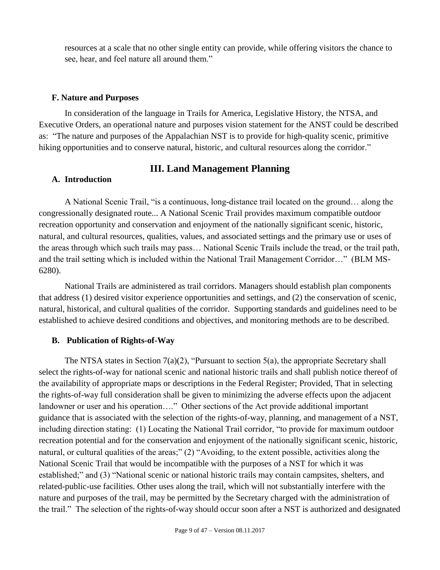resources at a scale that no other single entity can provide, while offering visitors the chance to see, hear, and feel nature all around them."

#### <span id="page-8-0"></span>**F. Nature and Purposes**

In consideration of the language in Trails for America, Legislative History, the NTSA, and Executive Orders, an operational nature and purposes vision statement for the ANST could be described as: "The nature and purposes of the Appalachian NST is to provide for high-quality scenic, primitive hiking opportunities and to conserve natural, historic, and cultural resources along the corridor."

#### **III. Land Management Planning**

#### <span id="page-8-2"></span><span id="page-8-1"></span>**A. Introduction**

A National Scenic Trail, "is a continuous, long-distance trail located on the ground… along the congressionally designated route... A National Scenic Trail provides maximum compatible outdoor recreation opportunity and conservation and enjoyment of the nationally significant scenic, historic, natural, and cultural resources, qualities, values, and associated settings and the primary use or uses of the areas through which such trails may pass… National Scenic Trails include the tread, or the trail path, and the trail setting which is included within the National Trail Management Corridor…" (BLM MS-6280).

National Trails are administered as trail corridors. Managers should establish plan components that address (1) desired visitor experience opportunities and settings, and (2) the conservation of scenic, natural, historical, and cultural qualities of the corridor. Supporting standards and guidelines need to be established to achieve desired conditions and objectives, and monitoring methods are to be described.

#### <span id="page-8-3"></span>**B. Publication of Rights-of-Way**

The NTSA states in Section 7(a)(2), "Pursuant to section 5(a), the appropriate Secretary shall select the rights-of-way for national scenic and national historic trails and shall publish notice thereof of the availability of appropriate maps or descriptions in the Federal Register; Provided, That in selecting the rights-of-way full consideration shall be given to minimizing the adverse effects upon the adjacent landowner or user and his operation…." Other sections of the Act provide additional important guidance that is associated with the selection of the rights-of-way, planning, and management of a NST, including direction stating: (1) Locating the National Trail corridor, "to provide for maximum outdoor recreation potential and for the conservation and enjoyment of the nationally significant scenic, historic, natural, or cultural qualities of the areas;" (2) "Avoiding, to the extent possible, activities along the National Scenic Trail that would be incompatible with the purposes of a NST for which it was established;" and (3) "National scenic or national historic trails may contain campsites, shelters, and related-public-use facilities. Other uses along the trail, which will not substantially interfere with the nature and purposes of the trail, may be permitted by the Secretary charged with the administration of the trail." The selection of the rights-of-way should occur soon after a NST is authorized and designated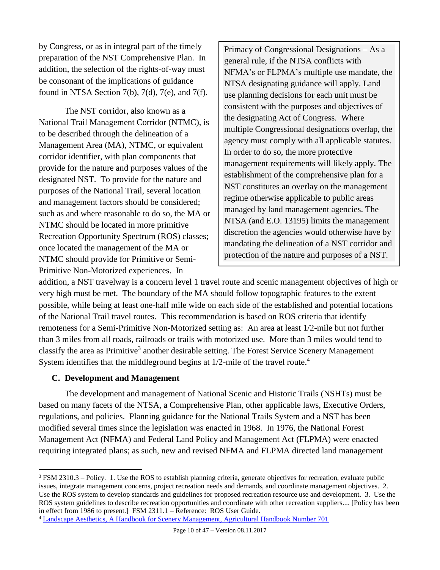by Congress, or as in integral part of the timely preparation of the NST Comprehensive Plan. In addition, the selection of the rights-of-way must be consonant of the implications of guidance found in NTSA Section  $7(b)$ ,  $7(d)$ ,  $7(e)$ , and  $7(f)$ .

The NST corridor, also known as a National Trail Management Corridor (NTMC), is to be described through the delineation of a Management Area (MA), NTMC, or equivalent corridor identifier, with plan components that provide for the nature and purposes values of the designated NST. To provide for the nature and purposes of the National Trail, several location and management factors should be considered; such as and where reasonable to do so, the MA or NTMC should be located in more primitive Recreation Opportunity Spectrum (ROS) classes; once located the management of the MA or NTMC should provide for Primitive or Semi-Primitive Non-Motorized experiences. In

Primacy of Congressional Designations – As a general rule, if the NTSA conflicts with NFMA's or FLPMA's multiple use mandate, the NTSA designating guidance will apply. Land use planning decisions for each unit must be consistent with the purposes and objectives of the designating Act of Congress. Where multiple Congressional designations overlap, the agency must comply with all applicable statutes. In order to do so, the more protective management requirements will likely apply. The establishment of the comprehensive plan for a NST constitutes an overlay on the management regime otherwise applicable to public areas managed by land management agencies. The NTSA (and E.O. 13195) limits the management discretion the agencies would otherwise have by mandating the delineation of a NST corridor and protection of the nature and purposes of a NST.

addition, a NST travelway is a concern level 1 travel route and scenic management objectives of high or very high must be met. The boundary of the MA should follow topographic features to the extent possible, while being at least one-half mile wide on each side of the established and potential locations of the National Trail travel routes. This recommendation is based on ROS criteria that identify remoteness for a Semi-Primitive Non-Motorized setting as: An area at least 1/2-mile but not further than 3 miles from all roads, railroads or trails with motorized use. More than 3 miles would tend to classify the area as Primitive<sup>3</sup> another desirable setting. The Forest Service Scenery Management System identifies that the middleground begins at 1/2-mile of the travel route.<sup>4</sup>

#### <span id="page-9-0"></span>**C. Development and Management**

 $\overline{a}$ 

The development and management of National Scenic and Historic Trails (NSHTs) must be based on many facets of the NTSA, a Comprehensive Plan, other applicable laws, Executive Orders, regulations, and policies. Planning guidance for the National Trails System and a NST has been modified several times since the legislation was enacted in 1968. In 1976, the National Forest Management Act (NFMA) and Federal Land Policy and Management Act (FLPMA) were enacted requiring integrated plans; as such, new and revised NFMA and FLPMA directed land management

<sup>3</sup> FSM 2310.3 – Policy. 1. Use the ROS to establish planning criteria, generate objectives for recreation, evaluate public issues, integrate management concerns, project recreation needs and demands, and coordinate management objectives. 2. Use the ROS system to develop standards and guidelines for proposed recreation resource use and development. 3. Use the ROS system guidelines to describe recreation opportunities and coordinate with other recreation suppliers.... [Policy has been in effect from 1986 to present.] FSM 2311.1 – Reference: [ROS User Guide.](http://www.fs.fed.us/cdt/carrying_capacity/rosguide_1982.pdf)

<sup>4</sup> [Landscape Aesthetics, A Handbook for Scenery Management, Agricultural Handbook Number 701](http://www.fs.fed.us/cdt/carrying_capacity/landscape_aesthetics_handbook_701_no_append.pdf)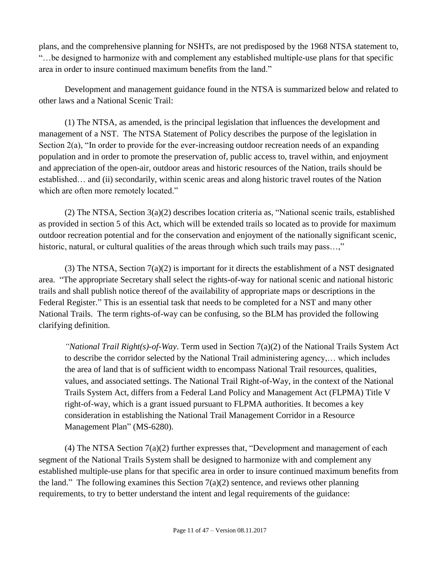plans, and the comprehensive planning for NSHTs, are not predisposed by the 1968 NTSA statement to, "…be designed to harmonize with and complement any established multiple-use plans for that specific area in order to insure continued maximum benefits from the land."

Development and management guidance found in the NTSA is summarized below and related to other laws and a National Scenic Trail:

(1) The NTSA, as amended, is the principal legislation that influences the development and management of a NST. The NTSA Statement of Policy describes the purpose of the legislation in Section 2(a), "In order to provide for the ever-increasing outdoor recreation needs of an expanding population and in order to promote the preservation of, public access to, travel within, and enjoyment and appreciation of the open-air, outdoor areas and historic resources of the Nation, trails should be established… and (ii) secondarily, within scenic areas and along historic travel routes of the Nation which are often more remotely located."

(2) The NTSA, Section 3(a)(2) describes location criteria as, "National scenic trails, established as provided in section 5 of this Act, which will be extended trails so located as to provide for maximum outdoor recreation potential and for the conservation and enjoyment of the nationally significant scenic, historic, natural, or cultural qualities of the areas through which such trails may pass...,"

(3) The NTSA, Section  $7(a)(2)$  is important for it directs the establishment of a NST designated area. "The appropriate Secretary shall select the rights-of-way for national scenic and national historic trails and shall publish notice thereof of the availability of appropriate maps or descriptions in the Federal Register." This is an essential task that needs to be completed for a NST and many other National Trails. The term rights-of-way can be confusing, so the BLM has provided the following clarifying definition.

*"National Trail Right(s)-of-Way*. Term used in Section 7(a)(2) of the National Trails System Act to describe the corridor selected by the National Trail administering agency,… which includes the area of land that is of sufficient width to encompass National Trail resources, qualities, values, and associated settings. The National Trail Right-of-Way, in the context of the National Trails System Act, differs from a Federal Land Policy and Management Act (FLPMA) Title V right-of-way, which is a grant issued pursuant to FLPMA authorities. It becomes a key consideration in establishing the National Trail Management Corridor in a Resource Management Plan" (MS-6280).

(4) The NTSA Section 7(a)(2) further expresses that, "Development and management of each segment of the National Trails System shall be designed to harmonize with and complement any established multiple-use plans for that specific area in order to insure continued maximum benefits from the land." The following examines this Section  $7(a)(2)$  sentence, and reviews other planning requirements, to try to better understand the intent and legal requirements of the guidance: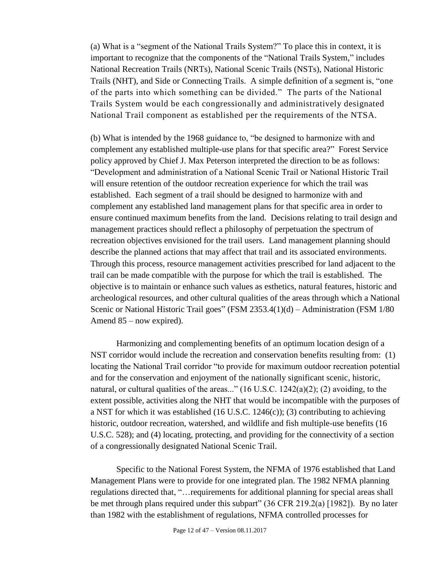(a) What is a "segment of the National Trails System?" To place this in context, it is important to recognize that the components of the "National Trails System," includes National Recreation Trails (NRTs), National Scenic Trails (NSTs), National Historic Trails (NHT), and Side or Connecting Trails. A simple definition of a segment is, "one of the parts into which something can be divided." The parts of the National Trails System would be each congressionally and administratively designated National Trail component as established per the requirements of the NTSA.

(b) What is intended by the 1968 guidance to, "be designed to harmonize with and complement any established multiple-use plans for that specific area?" Forest Service policy approved by Chief J. Max Peterson interpreted the direction to be as follows: "Development and administration of a National Scenic Trail or National Historic Trail will ensure retention of the outdoor recreation experience for which the trail was established. Each segment of a trail should be designed to harmonize with and complement any established land management plans for that specific area in order to ensure continued maximum benefits from the land. Decisions relating to trail design and management practices should reflect a philosophy of perpetuation the spectrum of recreation objectives envisioned for the trail users. Land management planning should describe the planned actions that may affect that trail and its associated environments. Through this process, resource management activities prescribed for land adjacent to the trail can be made compatible with the purpose for which the trail is established. The objective is to maintain or enhance such values as esthetics, natural features, historic and archeological resources, and other cultural qualities of the areas through which a National Scenic or National Historic Trail goes" (FSM 2353.4(1)(d) – Administration (FSM 1/80 Amend 85 – now expired).

Harmonizing and complementing benefits of an optimum location design of a NST corridor would include the recreation and conservation benefits resulting from: (1) locating the National Trail corridor "to provide for maximum outdoor recreation potential and for the conservation and enjoyment of the nationally significant scenic, historic, natural, or cultural qualities of the areas..." (16 U.S.C. 1242(a)(2); (2) avoiding, to the extent possible, activities along the NHT that would be incompatible with the purposes of a NST for which it was established  $(16 \text{ U.S.C. } 1246(c))$ ; (3) contributing to achieving historic, outdoor recreation, watershed, and wildlife and fish multiple-use benefits (16 U.S.C. 528); and (4) locating, protecting, and providing for the connectivity of a section of a congressionally designated National Scenic Trail.

Specific to the National Forest System, the NFMA of 1976 established that Land Management Plans were to provide for one integrated plan. The 1982 NFMA planning regulations directed that, "…requirements for additional planning for special areas shall be met through plans required under this subpart" (36 CFR 219.2(a) [1982]). By no later than 1982 with the establishment of regulations, NFMA controlled processes for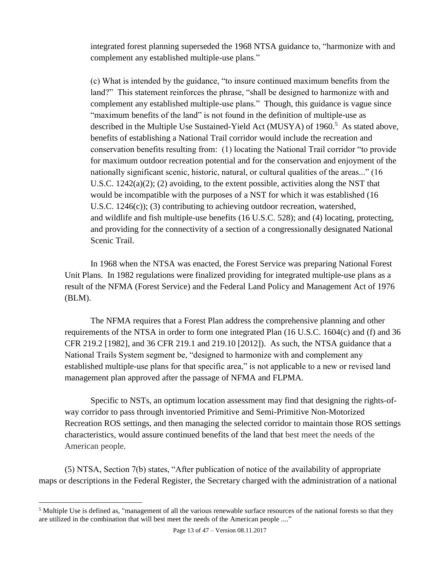integrated forest planning superseded the 1968 NTSA guidance to, "harmonize with and complement any established multiple-use plans."

(c) What is intended by the guidance, "to insure continued maximum benefits from the land?" This statement reinforces the phrase, "shall be designed to harmonize with and complement any established multiple-use plans." Though, this guidance is vague since "maximum benefits of the land" is not found in the definition of multiple-use as described in the Multiple Use Sustained-Yield Act (MUSYA) of 1960. <sup>5</sup> As stated above, benefits of establishing a National Trail corridor would include the recreation and conservation benefits resulting from: (1) locating the National Trail corridor "to provide for maximum outdoor recreation potential and for the conservation and enjoyment of the nationally significant scenic, historic, natural, or cultural qualities of the areas..." (16 U.S.C.  $1242(a)(2)$ ; (2) avoiding, to the extent possible, activities along the NST that would be incompatible with the purposes of a NST for which it was established (16 U.S.C. 1246(c)); (3) contributing to achieving outdoor recreation, watershed, and wildlife and fish multiple-use benefits (16 U.S.C. 528); and (4) locating, protecting, and providing for the connectivity of a section of a congressionally designated National Scenic Trail.

In 1968 when the NTSA was enacted, the Forest Service was preparing National Forest Unit Plans. In 1982 regulations were finalized providing for integrated multiple-use plans as a result of the NFMA (Forest Service) and the Federal Land Policy and Management Act of 1976 (BLM).

The NFMA requires that a Forest Plan address the comprehensive planning and other requirements of the NTSA in order to form one integrated Plan (16 U.S.C. 1604(c) and (f) and 36 CFR 219.2 [1982], and 36 CFR 219.1 and 219.10 [2012]). As such, the NTSA guidance that a National Trails System segment be, "designed to harmonize with and complement any established multiple-use plans for that specific area," is not applicable to a new or revised land management plan approved after the passage of NFMA and FLPMA.

Specific to NSTs, an optimum location assessment may find that designing the rights-ofway corridor to pass through inventoried Primitive and Semi-Primitive Non-Motorized Recreation ROS settings, and then managing the selected corridor to maintain those ROS settings characteristics, would assure continued benefits of the land that best meet the needs of the American people.

(5) NTSA, Section 7(b) states, "After publication of notice of the availability of appropriate maps or descriptions in the Federal Register, the Secretary charged with the administration of a national

 $\overline{a}$ 

<sup>&</sup>lt;sup>5</sup> Multiple Use is defined as, "management of all the various renewable surface resources of the national forests so that they are utilized in the combination that will best meet the needs of the American people ...."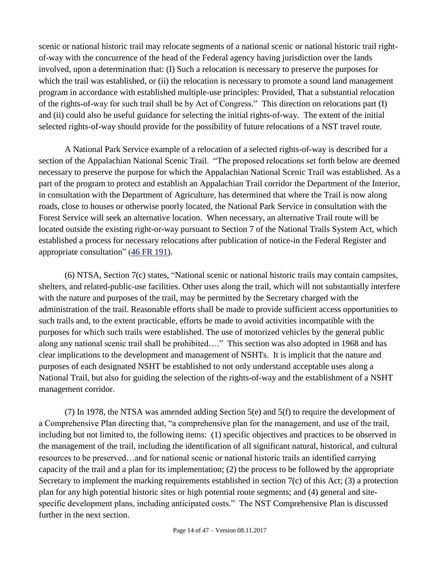scenic or national historic trail may relocate segments of a national scenic or national historic trail rightof-way with the concurrence of the head of the Federal agency having jurisdiction over the lands involved, upon a determination that: (I) Such a relocation is necessary to preserve the purposes for which the trail was established, or (ii) the relocation is necessary to promote a sound land management program in accordance with established multiple-use principles: Provided, That a substantial relocation of the rights-of-way for such trail shall be by Act of Congress." This direction on relocations part (I) and (ii) could also be useful guidance for selecting the initial rights-of-way. The extent of the initial selected rights-of-way should provide for the possibility of future relocations of a NST travel route.

A National Park Service example of a relocation of a selected rights-of-way is described for a section of the Appalachian National Scenic Trail. "The proposed relocations set forth below are deemed necessary to preserve the purpose for which the Appalachian National Scenic Trail was established. As a part of the program to protect and establish an Appalachian Trail corridor the Department of the Interior, in consultation with the Department of Agriculture, has determined that where the Trail is now along roads, close to houses or otherwise poorly located, the National Park Service in consultation with the Forest Service will seek an alternative location. When necessary, an alternative Trail route will be located outside the existing right-or-way pursuant to Section 7 of the National Trails System Act, which established a process for necessary relocations after publication of notice-in the Federal Register and appropriate consultation" [\(46 FR 191\)](http://nstrail.org/pdf_documents/ANST_FR_Notice_Relocation_1981.pdf).

(6) NTSA, Section 7(c) states, "National scenic or national historic trails may contain campsites, shelters, and related-public-use facilities. Other uses along the trail, which will not substantially interfere with the nature and purposes of the trail, may be permitted by the Secretary charged with the administration of the trail. Reasonable efforts shall be made to provide sufficient access opportunities to such trails and, to the extent practicable, efforts be made to avoid activities incompatible with the purposes for which such trails were established. The use of motorized vehicles by the general public along any national scenic trail shall be prohibited…." This section was also adopted in 1968 and has clear implications to the development and management of NSHTs. It is implicit that the nature and purposes of each designated NSHT be established to not only understand acceptable uses along a National Trail, but also for guiding the selection of the rights-of-way and the establishment of a NSHT management corridor.

(7) In 1978, the NTSA was amended adding Section 5(e) and 5(f) to require the development of a Comprehensive Plan directing that, "a comprehensive plan for the management, and use of the trail, including but not limited to, the following items: (1) specific objectives and practices to be observed in the management of the trail, including the identification of all significant natural, historical, and cultural resources to be preserved…and for national scenic or national historic trails an identified carrying capacity of the trail and a plan for its implementation; (2) the process to be followed by the appropriate Secretary to implement the marking requirements established in section 7(c) of this Act; (3) a protection plan for any high potential historic sites or high potential route segments; and (4) general and sitespecific development plans, including anticipated costs." The NST Comprehensive Plan is discussed further in the next section.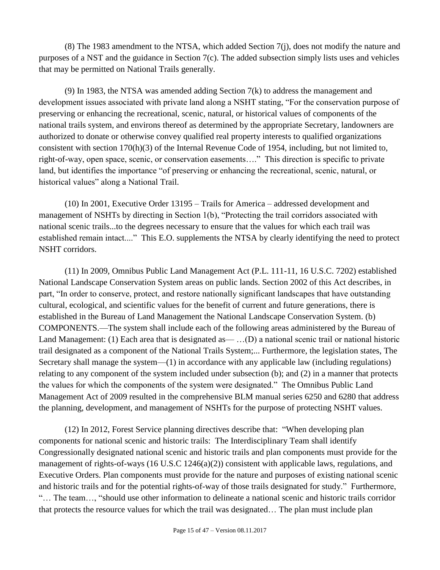(8) The 1983 amendment to the NTSA, which added Section 7(j), does not modify the nature and purposes of a NST and the guidance in Section 7(c). The added subsection simply lists uses and vehicles that may be permitted on National Trails generally.

(9) In 1983, the NTSA was amended adding Section 7(k) to address the management and development issues associated with private land along a NSHT stating, "For the conservation purpose of preserving or enhancing the recreational, scenic, natural, or historical values of components of the national trails system, and environs thereof as determined by the appropriate Secretary, landowners are authorized to donate or otherwise convey qualified real property interests to qualified organizations consistent with section 170(h)(3) of the Internal Revenue Code of 1954, including, but not limited to, right-of-way, open space, scenic, or conservation easements…." This direction is specific to private land, but identifies the importance "of preserving or enhancing the recreational, scenic, natural, or historical values" along a National Trail.

(10) In 2001, Executive Order 13195 – Trails for America – addressed development and management of NSHTs by directing in Section 1(b), "Protecting the trail corridors associated with national scenic trails...to the degrees necessary to ensure that the values for which each trail was established remain intact...." This E.O. supplements the NTSA by clearly identifying the need to protect NSHT corridors.

(11) In 2009, Omnibus Public Land Management Act (P.L. 111-11, 16 U.S.C. 7202) established National Landscape Conservation System areas on public lands. Section 2002 of this Act describes, in part, "In order to conserve, protect, and restore nationally significant landscapes that have outstanding cultural, ecological, and scientific values for the benefit of current and future generations, there is established in the Bureau of Land Management the National Landscape Conservation System. (b) COMPONENTS.—The system shall include each of the following areas administered by the Bureau of Land Management: (1) Each area that is designated as— ...(D) a national scenic trail or national historic trail designated as a component of the National Trails System;... Furthermore, the legislation states, The Secretary shall manage the system—(1) in accordance with any applicable law (including regulations) relating to any component of the system included under subsection (b); and (2) in a manner that protects the values for which the components of the system were designated." The Omnibus Public Land Management Act of 2009 resulted in the comprehensive BLM manual series 6250 and 6280 that address the planning, development, and management of NSHTs for the purpose of protecting NSHT values.

(12) In 2012, Forest Service planning directives describe that: "When developing plan components for national scenic and historic trails: The Interdisciplinary Team shall identify Congressionally designated national scenic and historic trails and plan components must provide for the management of rights-of-ways (16 U.S.C 1246(a)(2)) consistent with applicable laws, regulations, and Executive Orders. Plan components must provide for the nature and purposes of existing national scenic and historic trails and for the potential rights-of-way of those trails designated for study." Furthermore, "… The team…, "should use other information to delineate a national scenic and historic trails corridor that protects the resource values for which the trail was designated… The plan must include plan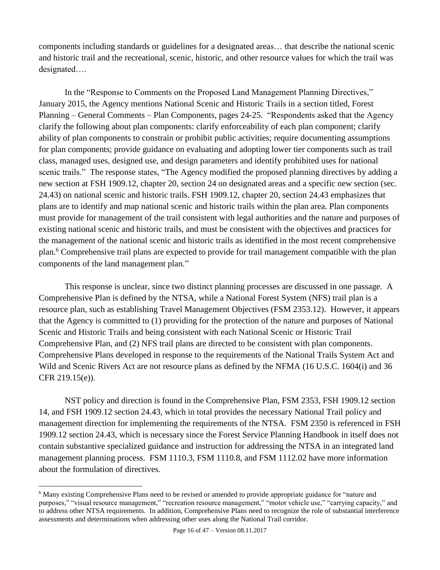components including standards or guidelines for a designated areas… that describe the national scenic and historic trail and the recreational, scenic, historic, and other resource values for which the trail was designated….

In the "Response to Comments on the Proposed Land Management Planning Directives," January 2015, the Agency mentions National Scenic and Historic Trails in a section titled, Forest Planning – General Comments – Plan Components, pages 24-25. "Respondents asked that the Agency clarify the following about plan components: clarify enforceability of each plan component; clarify ability of plan components to constrain or prohibit public activities; require documenting assumptions for plan components; provide guidance on evaluating and adopting lower tier components such as trail class, managed uses, designed use, and design parameters and identify prohibited uses for national scenic trails." The response states, "The Agency modified the proposed planning directives by adding a new section at FSH 1909.12, chapter 20, section 24 on designated areas and a specific new section (sec. 24.43) on national scenic and historic trails. FSH 1909.12, chapter 20, section 24.43 emphasizes that plans are to identify and map national scenic and historic trails within the plan area. Plan components must provide for management of the trail consistent with legal authorities and the nature and purposes of existing national scenic and historic trails, and must be consistent with the objectives and practices for the management of the national scenic and historic trails as identified in the most recent comprehensive plan.<sup>6</sup> Comprehensive trail plans are expected to provide for trail management compatible with the plan components of the land management plan."

This response is unclear, since two distinct planning processes are discussed in one passage. A Comprehensive Plan is defined by the NTSA, while a National Forest System (NFS) trail plan is a resource plan, such as establishing Travel Management Objectives (FSM 2353.12). However, it appears that the Agency is committed to (1) providing for the protection of the nature and purposes of National Scenic and Historic Trails and being consistent with each National Scenic or Historic Trail Comprehensive Plan, and (2) NFS trail plans are directed to be consistent with plan components. Comprehensive Plans developed in response to the requirements of the National Trails System Act and Wild and Scenic Rivers Act are not resource plans as defined by the NFMA (16 U.S.C. 1604(i) and 36 CFR 219.15(e)).

NST policy and direction is found in the Comprehensive Plan, FSM 2353, FSH 1909.12 section 14, and FSH 1909.12 section 24.43, which in total provides the necessary National Trail policy and management direction for implementing the requirements of the NTSA. FSM 2350 is referenced in FSH 1909.12 section 24.43, which is necessary since the Forest Service Planning Handbook in itself does not contain substantive specialized guidance and instruction for addressing the NTSA in an integrated land management planning process. FSM 1110.3, FSM 1110.8, and FSM 1112.02 have more information about the formulation of directives.

 $\overline{a}$ 

<sup>6</sup> Many existing Comprehensive Plans need to be revised or amended to provide appropriate guidance for "nature and purposes," "visual resource management," "recreation resource management," "motor vehicle use," "carrying capacity," and to address other NTSA requirements. In addition, Comprehensive Plans need to recognize the role of substantial interference assessments and determinations when addressing other uses along the National Trail corridor.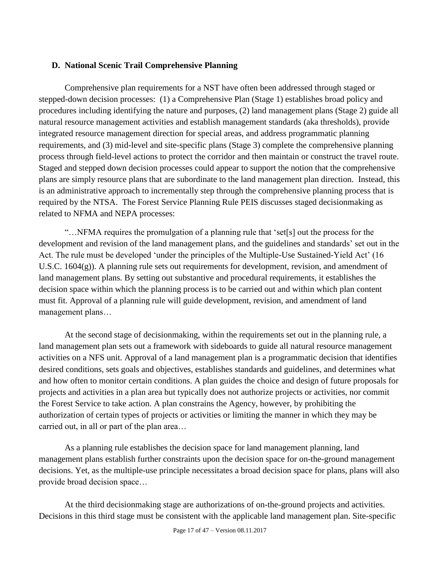#### <span id="page-16-0"></span>**D. National Scenic Trail Comprehensive Planning**

Comprehensive plan requirements for a NST have often been addressed through staged or stepped-down decision processes: (1) a Comprehensive Plan (Stage 1) establishes broad policy and procedures including identifying the nature and purposes, (2) land management plans (Stage 2) guide all natural resource management activities and establish management standards (aka thresholds), provide integrated resource management direction for special areas, and address programmatic planning requirements, and (3) mid-level and site-specific plans (Stage 3) complete the comprehensive planning process through field-level actions to protect the corridor and then maintain or construct the travel route. Staged and stepped down decision processes could appear to support the notion that the comprehensive plans are simply resource plans that are subordinate to the land management plan direction. Instead, this is an administrative approach to incrementally step through the comprehensive planning process that is required by the NTSA. The Forest Service Planning Rule PEIS discusses staged decisionmaking as related to NFMA and NEPA processes:

"…NFMA requires the promulgation of a planning rule that 'set[s] out the process for the development and revision of the land management plans, and the guidelines and standards' set out in the Act. The rule must be developed 'under the principles of the Multiple-Use Sustained-Yield Act' (16 U.S.C. 1604(g)). A planning rule sets out requirements for development, revision, and amendment of land management plans. By setting out substantive and procedural requirements, it establishes the decision space within which the planning process is to be carried out and within which plan content must fit. Approval of a planning rule will guide development, revision, and amendment of land management plans…

At the second stage of decisionmaking, within the requirements set out in the planning rule, a land management plan sets out a framework with sideboards to guide all natural resource management activities on a NFS unit. Approval of a land management plan is a programmatic decision that identifies desired conditions, sets goals and objectives, establishes standards and guidelines, and determines what and how often to monitor certain conditions. A plan guides the choice and design of future proposals for projects and activities in a plan area but typically does not authorize projects or activities, nor commit the Forest Service to take action. A plan constrains the Agency, however, by prohibiting the authorization of certain types of projects or activities or limiting the manner in which they may be carried out, in all or part of the plan area…

As a planning rule establishes the decision space for land management planning, land management plans establish further constraints upon the decision space for on-the-ground management decisions. Yet, as the multiple-use principle necessitates a broad decision space for plans, plans will also provide broad decision space…

At the third decisionmaking stage are authorizations of on-the-ground projects and activities. Decisions in this third stage must be consistent with the applicable land management plan. Site-specific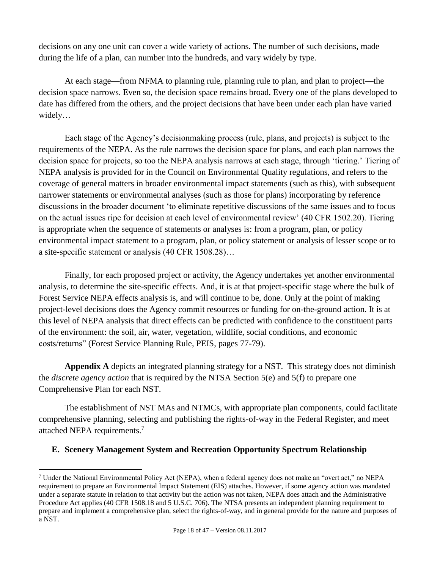decisions on any one unit can cover a wide variety of actions. The number of such decisions, made during the life of a plan, can number into the hundreds, and vary widely by type.

At each stage—from NFMA to planning rule, planning rule to plan, and plan to project—the decision space narrows. Even so, the decision space remains broad. Every one of the plans developed to date has differed from the others, and the project decisions that have been under each plan have varied widely…

Each stage of the Agency's decisionmaking process (rule, plans, and projects) is subject to the requirements of the NEPA. As the rule narrows the decision space for plans, and each plan narrows the decision space for projects, so too the NEPA analysis narrows at each stage, through 'tiering.' Tiering of NEPA analysis is provided for in the Council on Environmental Quality regulations, and refers to the coverage of general matters in broader environmental impact statements (such as this), with subsequent narrower statements or environmental analyses (such as those for plans) incorporating by reference discussions in the broader document 'to eliminate repetitive discussions of the same issues and to focus on the actual issues ripe for decision at each level of environmental review' (40 CFR 1502.20). Tiering is appropriate when the sequence of statements or analyses is: from a program, plan, or policy environmental impact statement to a program, plan, or policy statement or analysis of lesser scope or to a site-specific statement or analysis (40 CFR 1508.28)…

Finally, for each proposed project or activity, the Agency undertakes yet another environmental analysis, to determine the site-specific effects. And, it is at that project-specific stage where the bulk of Forest Service NEPA effects analysis is, and will continue to be, done. Only at the point of making project-level decisions does the Agency commit resources or funding for on-the-ground action. It is at this level of NEPA analysis that direct effects can be predicted with confidence to the constituent parts of the environment: the soil, air, water, vegetation, wildlife, social conditions, and economic costs/returns" (Forest Service Planning Rule, PEIS, pages 77-79).

**Appendix A** depicts an integrated planning strategy for a NST. This strategy does not diminish the *discrete agency action* that is required by the NTSA Section 5(e) and 5(f) to prepare one Comprehensive Plan for each NST.

The establishment of NST MAs and NTMCs, with appropriate plan components, could facilitate comprehensive planning, selecting and publishing the rights-of-way in the Federal Register, and meet attached NEPA requirements.<sup>7</sup>

## <span id="page-17-0"></span>**E. Scenery Management System and Recreation Opportunity Spectrum Relationship**

 $\overline{a}$ 

<sup>7</sup> Under the National Environmental Policy Act (NEPA), when a federal agency does not make an "overt act," no NEPA requirement to prepare an Environmental Impact Statement (EIS) attaches. However, if some agency action was mandated under a separate statute in relation to that activity but the action was not taken, NEPA does attach and the Administrative Procedure Act applies (40 CFR 1508.18 and 5 U.S.C. 706). The NTSA presents an independent planning requirement to prepare and implement a comprehensive plan, select the rights-of-way, and in general provide for the nature and purposes of a NST.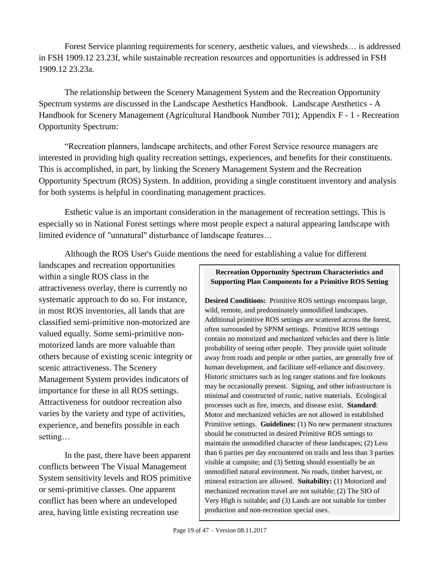Forest Service planning requirements for scenery, aesthetic values, and viewsheds… is addressed in FSH 1909.12 23.23f, while sustainable recreation resources and opportunities is addressed in FSH 1909.12 23.23a.

The relationship between the Scenery Management System and the Recreation Opportunity Spectrum systems are discussed in the Landscape Aesthetics Handbook. Landscape Aesthetics - A Handbook for Scenery Management (Agricultural Handbook Number 701); Appendix F - 1 - Recreation Opportunity Spectrum:

"Recreation planners, landscape architects, and other Forest Service resource managers are interested in providing high quality recreation settings, experiences, and benefits for their constituents. This is accomplished, in part, by linking the Scenery Management System and the Recreation Opportunity Spectrum (ROS) System. In addition, providing a single constituent inventory and analysis for both systems is helpful in coordinating management practices.

Esthetic value is an important consideration in the management of recreation settings. This is especially so in National Forest settings where most people expect a natural appearing landscape with limited evidence of "unnatural" disturbance of landscape features…

Although the ROS User's Guide mentions the need for establishing a value for different

landscapes and recreation opportunities within a single ROS class in the attractiveness overlay, there is currently no systematic approach to do so. For instance, in most ROS inventories, all lands that are classified semi-primitive non-motorized are valued equally. Some semi-primitive nonmotorized lands are more valuable than others because of existing scenic integrity or scenic attractiveness. The Scenery Management System provides indicators of importance for these in all ROS settings. Attractiveness for outdoor recreation also varies by the variety and type of activities, experience, and benefits possible in each setting…

In the past, there have been apparent conflicts between The Visual Management System sensitivity levels and ROS primitive or semi-primitive classes. One apparent conflict has been where an undeveloped area, having little existing recreation use

#### **Recreation Opportunity Spectrum Characteristics and Supporting Plan Components for a Primitive ROS Setting**

**Desired Conditions:** Primitive ROS settings encompass large, wild, remote, and predominately unmodified landscapes. Additional primitive ROS settings are scattered across the forest, often surrounded by SPNM settings. Primitive ROS settings contain no motorized and mechanized vehicles and there is little probability of seeing other people. They provide quiet solitude away from roads and people or other parties, are generally free of human development, and facilitate self-reliance and discovery. Historic structures such as log ranger stations and fire lookouts may be occasionally present. Signing, and other infrastructure is minimal and constructed of rustic, native materials. Ecological processes such as fire, insects, and disease exist. **Standard**: Motor and mechanized vehicles are not allowed in established Primitive settings. **Guidelines:** (1) No new permanent structures should be constructed in desired Primitive ROS settings to maintain the unmodified character of these landscapes; (2) Less than 6 parties per day encountered on trails and less than 3 parties visible at campsite; and (3) Setting should essentially be an unmodified natural environment. No roads, timber harvest, or mineral extraction are allowed. **Suitability:** (1) Motorized and mechanized recreation travel are not suitable; (2) The SIO of Very High is suitable; and (3) Lands are not suitable for timber production and non-recreation special uses.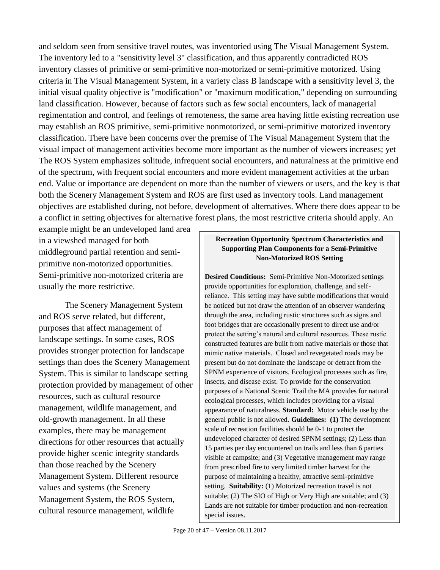and seldom seen from sensitive travel routes, was inventoried using The Visual Management System. The inventory led to a "sensitivity level 3" classification, and thus apparently contradicted ROS inventory classes of primitive or semi-primitive non-motorized or semi-primitive motorized. Using criteria in The Visual Management System, in a variety class B landscape with a sensitivity level 3, the initial visual quality objective is "modification" or "maximum modification," depending on surrounding land classification. However, because of factors such as few social encounters, lack of managerial regimentation and control, and feelings of remoteness, the same area having little existing recreation use may establish an ROS primitive, semi-primitive nonmotorized, or semi-primitive motorized inventory classification. There have been concerns over the premise of The Visual Management System that the visual impact of management activities become more important as the number of viewers increases; yet The ROS System emphasizes solitude, infrequent social encounters, and naturalness at the primitive end of the spectrum, with frequent social encounters and more evident management activities at the urban end. Value or importance are dependent on more than the number of viewers or users, and the key is that both the Scenery Management System and ROS are first used as inventory tools. Land management objectives are established during, not before, development of alternatives. Where there does appear to be a conflict in setting objectives for alternative forest plans, the most restrictive criteria should apply. An

example might be an undeveloped land area in a viewshed managed for both middleground partial retention and semiprimitive non-motorized opportunities. Semi-primitive non-motorized criteria are usually the more restrictive.

The Scenery Management System and ROS serve related, but different, purposes that affect management of landscape settings. In some cases, ROS provides stronger protection for landscape settings than does the Scenery Management System. This is similar to landscape setting protection provided by management of other resources, such as cultural resource management, wildlife management, and old-growth management. In all these examples, there may be management directions for other resources that actually provide higher scenic integrity standards than those reached by the Scenery Management System. Different resource values and systems (the Scenery Management System, the ROS System, cultural resource management, wildlife

#### **Recreation Opportunity Spectrum Characteristics and Supporting Plan Components for a Semi-Primitive Non-Motorized ROS Setting**

**Desired Conditions:** Semi-Primitive Non-Motorized settings provide opportunities for exploration, challenge, and selfreliance. This setting may have subtle modifications that would be noticed but not draw the attention of an observer wandering through the area, including rustic structures such as signs and foot bridges that are occasionally present to direct use and/or protect the setting's natural and cultural resources. These rustic constructed features are built from native materials or those that mimic native materials. Closed and revegetated roads may be present but do not dominate the landscape or detract from the SPNM experience of visitors. Ecological processes such as fire, insects, and disease exist. To provide for the conservation purposes of a National Scenic Trail the MA provides for natural ecological processes, which includes providing for a visual appearance of naturalness. **Standard:** Motor vehicle use by the general public is not allowed*.* **Guidelines: (1)** The development scale of recreation facilities should be 0-1 to protect the undeveloped character of desired SPNM settings; (2) Less than 15 parties per day encountered on trails and less than 6 parties visible at campsite; and (3) Vegetative management may range from prescribed fire to very limited timber harvest for the purpose of maintaining a healthy, attractive semi-primitive setting. **Suitability:** (1) Motorized recreation travel is not suitable; (2) The SIO of High or Very High are suitable; and (3) Lands are not suitable for timber production and non-recreation special issues.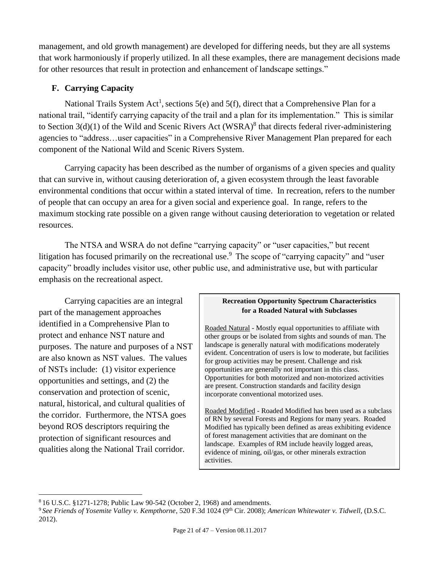management, and old growth management) are developed for differing needs, but they are all systems that work harmoniously if properly utilized. In all these examples, there are management decisions made for other resources that result in protection and enhancement of landscape settings."

## <span id="page-20-0"></span>**F. Carrying Capacity**

National Trails System Act<sup>[1](#page-3-3)</sup>, sections 5(e) and 5(f), direct that a Comprehensive Plan for a national trail, "identify carrying capacity of the trail and a plan for its implementation." This is similar to Section  $3(d)(1)$  of the Wild and Scenic Rivers Act (WSRA)<sup>8</sup> that directs federal river-administering agencies to "address…user capacities" in a Comprehensive River Management Plan prepared for each component of the National Wild and Scenic Rivers System.

Carrying capacity has been described as the number of organisms of a given species and quality that can survive in, without causing deterioration of, a given ecosystem through the least favorable environmental conditions that occur within a stated interval of time. In recreation, refers to the number of people that can occupy an area for a given social and experience goal. In range, refers to the maximum stocking rate possible on a given range without causing deterioration to vegetation or related resources.

The NTSA and WSRA do not define "carrying capacity" or "user capacities," but recent litigation has focused primarily on the recreational use.<sup>9</sup> The scope of "carrying capacity" and "user capacity" broadly includes visitor use, other public use, and administrative use, but with particular emphasis on the recreational aspect.

Carrying capacities are an integral part of the management approaches identified in a Comprehensive Plan to protect and enhance NST nature and purposes. The nature and purposes of a NST are also known as NST values. The values of NSTs include: (1) visitor experience opportunities and settings, and (2) the conservation and protection of scenic, natural, historical, and cultural qualities of the corridor. Furthermore, the NTSA goes beyond ROS descriptors requiring the protection of significant resources and qualities along the National Trail corridor.

 $\overline{a}$ 

#### **Recreation Opportunity Spectrum Characteristics for a Roaded Natural with Subclasses**

Roaded Natural - Mostly equal opportunities to affiliate with other groups or be isolated from sights and sounds of man. The landscape is generally natural with modifications moderately evident. Concentration of users is low to moderate, but facilities for group activities may be present. Challenge and risk opportunities are generally not important in this class. Opportunities for both motorized and non-motorized activities are present. Construction standards and facility design incorporate conventional motorized uses.

Roaded Modified - Roaded Modified has been used as a subclass of RN by several Forests and Regions for many years. Roaded Modified has typically been defined as areas exhibiting evidence of forest management activities that are dominant on the landscape. Examples of RM include heavily logged areas, evidence of mining, oil/gas, or other minerals extraction activities.

<sup>8</sup> 16 U.S.C. §1271-1278; Public Law 90-542 (October 2, 1968) and amendments.

<sup>9</sup> *See Friends of Yosemite Valley v. Kempthorne*, 520 F.3d 1024 (9th Cir. 2008); *American Whitewater v. Tidwell,* (D.S.C. 2012).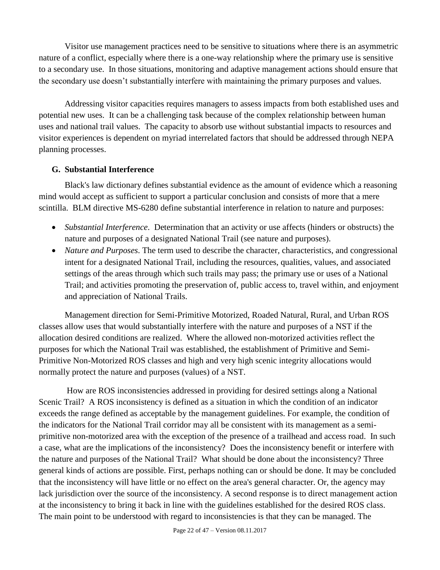Visitor use management practices need to be sensitive to situations where there is an asymmetric nature of a conflict, especially where there is a one-way relationship where the primary use is sensitive to a secondary use. In those situations, monitoring and adaptive management actions should ensure that the secondary use doesn't substantially interfere with maintaining the primary purposes and values.

Addressing visitor capacities requires managers to assess impacts from both established uses and potential new uses. It can be a challenging task because of the complex relationship between human uses and national trail values. The capacity to absorb use without substantial impacts to resources and visitor experiences is dependent on myriad interrelated factors that should be addressed through NEPA planning processes.

#### <span id="page-21-0"></span>**G. Substantial Interference**

Black's law dictionary defines substantial evidence as the amount of evidence which a reasoning mind would accept as sufficient to support a particular conclusion and consists of more that a mere scintilla. BLM directive MS-6280 define substantial interference in relation to nature and purposes:

- *Substantial Interference*. Determination that an activity or use affects (hinders or obstructs) the nature and purposes of a designated National Trail (see nature and purposes).
- *Nature and Purposes*. The term used to describe the character, characteristics, and congressional intent for a designated National Trail, including the resources, qualities, values, and associated settings of the areas through which such trails may pass; the primary use or uses of a National Trail; and activities promoting the preservation of, public access to, travel within, and enjoyment and appreciation of National Trails.

Management direction for Semi-Primitive Motorized, Roaded Natural, Rural, and Urban ROS classes allow uses that would substantially interfere with the nature and purposes of a NST if the allocation desired conditions are realized. Where the allowed non-motorized activities reflect the purposes for which the National Trail was established, the establishment of Primitive and Semi-Primitive Non-Motorized ROS classes and high and very high scenic integrity allocations would normally protect the nature and purposes (values) of a NST.

How are ROS inconsistencies addressed in providing for desired settings along a National Scenic Trail? A ROS inconsistency is defined as a situation in which the condition of an indicator exceeds the range defined as acceptable by the management guidelines. For example, the condition of the indicators for the National Trail corridor may all be consistent with its management as a semiprimitive non-motorized area with the exception of the presence of a trailhead and access road. In such a case, what are the implications of the inconsistency? Does the inconsistency benefit or interfere with the nature and purposes of the National Trail? What should be done about the inconsistency? Three general kinds of actions are possible. First, perhaps nothing can or should be done. It may be concluded that the inconsistency will have little or no effect on the area's general character. Or, the agency may lack jurisdiction over the source of the inconsistency. A second response is to direct management action at the inconsistency to bring it back in line with the guidelines established for the desired ROS class. The main point to be understood with regard to inconsistencies is that they can be managed. The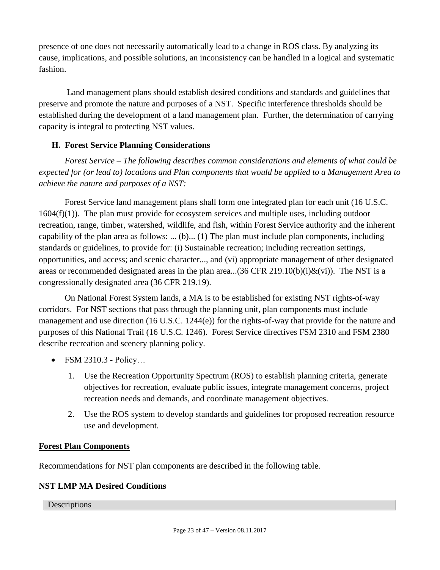presence of one does not necessarily automatically lead to a change in ROS class. By analyzing its cause, implications, and possible solutions, an inconsistency can be handled in a logical and systematic fashion.

Land management plans should establish desired conditions and standards and guidelines that preserve and promote the nature and purposes of a NST. Specific interference thresholds should be established during the development of a land management plan. Further, the determination of carrying capacity is integral to protecting NST values.

## <span id="page-22-0"></span>**H. Forest Service Planning Considerations**

*Forest Service – The following describes common considerations and elements of what could be expected for (or lead to) locations and Plan components that would be applied to a Management Area to achieve the nature and purposes of a NST:*

Forest Service land management plans shall form one integrated plan for each unit (16 U.S.C.  $1604(f)(1)$ ). The plan must provide for ecosystem services and multiple uses, including outdoor recreation, range, timber, watershed, wildlife, and fish, within Forest Service authority and the inherent capability of the plan area as follows: ...  $(b)$ ...  $(1)$  The plan must include plan components, including standards or guidelines, to provide for: (i) Sustainable recreation; including recreation settings, opportunities, and access; and scenic character..., and (vi) appropriate management of other designated areas or recommended designated areas in the plan area...(36 CFR 219.10(b)(i) $\&$ (vi)). The NST is a congressionally designated area (36 CFR 219.19).

On National Forest System lands, a MA is to be established for existing NST rights-of-way corridors. For NST sections that pass through the planning unit, plan components must include management and use direction (16 U.S.C. 1244(e)) for the rights-of-way that provide for the nature and purposes of this National Trail (16 U.S.C. 1246). Forest Service directives FSM 2310 and FSM 2380 describe recreation and scenery planning policy.

- FSM 2310.3 Policy…
	- 1. Use the Recreation Opportunity Spectrum (ROS) to establish planning criteria, generate objectives for recreation, evaluate public issues, integrate management concerns, project recreation needs and demands, and coordinate management objectives.
	- 2. Use the ROS system to develop standards and guidelines for proposed recreation resource use and development.

#### **Forest Plan Components**

Recommendations for NST plan components are described in the following table.

#### **NST LMP MA Desired Conditions**

**Descriptions**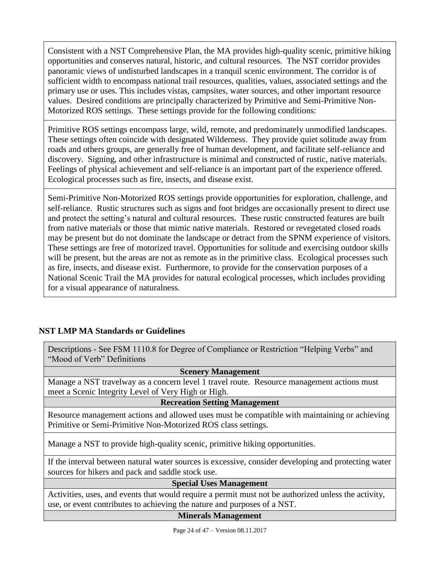Consistent with a NST Comprehensive Plan, the MA provides high-quality scenic, primitive hiking opportunities and conserves natural, historic, and cultural resources. The NST corridor provides panoramic views of undisturbed landscapes in a tranquil scenic environment. The corridor is of sufficient width to encompass national trail resources, qualities, values, associated settings and the primary use or uses. This includes vistas, campsites, water sources, and other important resource values. Desired conditions are principally characterized by Primitive and Semi-Primitive Non-Motorized ROS settings. These settings provide for the following conditions:

Primitive ROS settings encompass large, wild, remote, and predominately unmodified landscapes. These settings often coincide with designated Wilderness. They provide quiet solitude away from roads and others groups, are generally free of human development, and facilitate self-reliance and discovery. Signing, and other infrastructure is minimal and constructed of rustic, native materials. Feelings of physical achievement and self-reliance is an important part of the experience offered. Ecological processes such as fire, insects, and disease exist.

Semi-Primitive Non-Motorized ROS settings provide opportunities for exploration, challenge, and self-reliance. Rustic structures such as signs and foot bridges are occasionally present to direct use and protect the setting's natural and cultural resources. These rustic constructed features are built from native materials or those that mimic native materials. Restored or revegetated closed roads may be present but do not dominate the landscape or detract from the SPNM experience of visitors. These settings are free of motorized travel. Opportunities for solitude and exercising outdoor skills will be present, but the areas are not as remote as in the primitive class. Ecological processes such as fire, insects, and disease exist. Furthermore, to provide for the conservation purposes of a National Scenic Trail the MA provides for natural ecological processes, which includes providing for a visual appearance of naturalness.

## **NST LMP MA Standards or Guidelines**

Descriptions - See FSM 1110.8 for Degree of Compliance or Restriction "Helping Verbs" and "Mood of Verb" Definitions

#### **Scenery Management**

Manage a NST travelway as a concern level 1 travel route. Resource management actions must meet a Scenic Integrity Level of Very High or High.

**Recreation Setting Management**

Resource management actions and allowed uses must be compatible with maintaining or achieving Primitive or Semi-Primitive Non-Motorized ROS class settings.

Manage a NST to provide high-quality scenic, primitive hiking opportunities.

If the interval between natural water sources is excessive, consider developing and protecting water sources for hikers and pack and saddle stock use.

#### **Special Uses Management**

Activities, uses, and events that would require a permit must not be authorized unless the activity, use, or event contributes to achieving the nature and purposes of a NST.

#### **Minerals Management**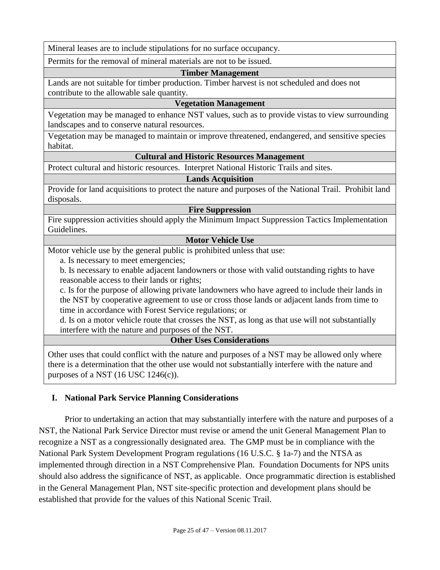Mineral leases are to include stipulations for no surface occupancy.

Permits for the removal of mineral materials are not to be issued.

#### **Timber Management**

Lands are not suitable for timber production. Timber harvest is not scheduled and does not contribute to the allowable sale quantity.

#### **Vegetation Management**

Vegetation may be managed to enhance NST values, such as to provide vistas to view surrounding landscapes and to conserve natural resources.

Vegetation may be managed to maintain or improve threatened, endangered, and sensitive species habitat.

#### **Cultural and Historic Resources Management**

Protect cultural and historic resources. Interpret National Historic Trails and sites.

#### **Lands Acquisition**

Provide for land acquisitions to protect the nature and purposes of the National Trail. Prohibit land disposals.

#### **Fire Suppression**

Fire suppression activities should apply the Minimum Impact Suppression Tactics Implementation Guidelines.

#### **Motor Vehicle Use**

Motor vehicle use by the general public is prohibited unless that use:

a. Is necessary to meet emergencies;

b. Is necessary to enable adjacent landowners or those with valid outstanding rights to have reasonable access to their lands or rights;

c. Is for the purpose of allowing private landowners who have agreed to include their lands in the NST by cooperative agreement to use or cross those lands or adjacent lands from time to time in accordance with Forest Service regulations; or

d. Is on a motor vehicle route that crosses the NST, as long as that use will not substantially interfere with the nature and purposes of the NST.

#### **Other Uses Considerations**

Other uses that could conflict with the nature and purposes of a NST may be allowed only where there is a determination that the other use would not substantially interfere with the nature and purposes of a NST  $(16$  USC  $1246(c)$ ).

#### <span id="page-24-0"></span>**I. National Park Service Planning Considerations**

Prior to undertaking an action that may substantially interfere with the nature and purposes of a NST, the National Park Service Director must revise or amend the unit General Management Plan to recognize a NST as a congressionally designated area. The GMP must be in compliance with the National Park System Development Program regulations (16 U.S.C. § 1a-7) and the NTSA as implemented through direction in a NST Comprehensive Plan. Foundation Documents for NPS units should also address the significance of NST, as applicable. Once programmatic direction is established in the General Management Plan, NST site-specific protection and development plans should be established that provide for the values of this National Scenic Trail.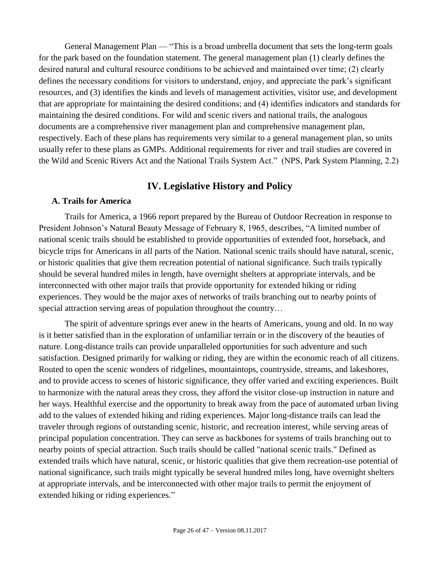General Management Plan — "This is a broad umbrella document that sets the long-term goals for the park based on the foundation statement. The general management plan (1) clearly defines the desired natural and cultural resource conditions to be achieved and maintained over time; (2) clearly defines the necessary conditions for visitors to understand, enjoy, and appreciate the park's significant resources, and (3) identifies the kinds and levels of management activities, visitor use, and development that are appropriate for maintaining the desired conditions; and (4) identifies indicators and standards for maintaining the desired conditions. For wild and scenic rivers and national trails, the analogous documents are a comprehensive river management plan and comprehensive management plan, respectively. Each of these plans has requirements very similar to a general management plan, so units usually refer to these plans as GMPs. Additional requirements for river and trail studies are covered in the Wild and Scenic Rivers Act and the National Trails System Act." (NPS, Park System Planning, 2.2)

## **IV. Legislative History and Policy**

#### <span id="page-25-1"></span><span id="page-25-0"></span>**A. Trails for America**

Trails for America, a 1966 report prepared by the Bureau of Outdoor Recreation in response to President Johnson's Natural Beauty Message of February 8, 1965, describes, "A limited number of national scenic trails should be established to provide opportunities of extended foot, horseback, and bicycle trips for Americans in all parts of the Nation. National scenic trails should have natural, scenic, or historic qualities that give them recreation potential of national significance. Such trails typically should be several hundred miles in length, have overnight shelters at appropriate intervals, and be interconnected with other major trails that provide opportunity for extended hiking or riding experiences. They would be the major axes of networks of trails branching out to nearby points of special attraction serving areas of population throughout the country...

The spirit of adventure springs ever anew in the hearts of Americans, young and old. In no way is it better satisfied than in the exploration of unfamiliar terrain or in the discovery of the beauties of nature. Long-distance trails can provide unparalleled opportunities for such adventure and such satisfaction. Designed primarily for walking or riding, they are within the economic reach of all citizens. Routed to open the scenic wonders of ridgelines, mountaintops, countryside, streams, and lakeshores, and to provide access to scenes of historic significance, they offer varied and exciting experiences. Built to harmonize with the natural areas they cross, they afford the visitor close-up instruction in nature and her ways. Healthful exercise and the opportunity to break away from the pace of automated urban living add to the values of extended hiking and riding experiences. Major long-distance trails can lead the traveler through regions of outstanding scenic, historic, and recreation interest, while serving areas of principal population concentration. They can serve as backbones for systems of trails branching out to nearby points of special attraction. Such trails should be called "national scenic trails." Defined as extended trails which have natural, scenic, or historic qualities that give them recreation-use potential of national significance, such trails might typically be several hundred miles long, have overnight shelters at appropriate intervals, and be interconnected with other major trails to permit the enjoyment of extended hiking or riding experiences."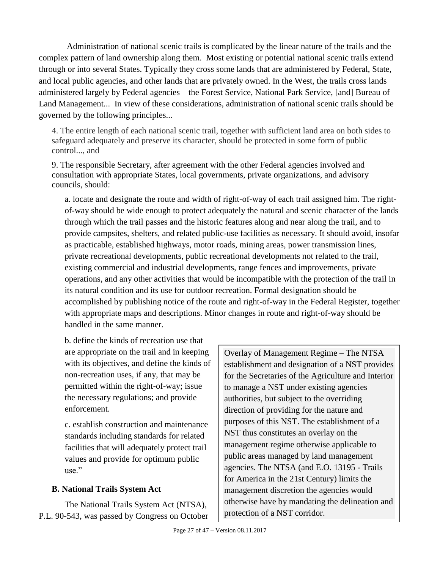Administration of national scenic trails is complicated by the linear nature of the trails and the complex pattern of land ownership along them. Most existing or potential national scenic trails extend through or into several States. Typically they cross some lands that are administered by Federal, State, and local public agencies, and other lands that are privately owned. In the West, the trails cross lands administered largely by Federal agencies—the Forest Service, National Park Service, [and] Bureau of Land Management... In view of these considerations, administration of national scenic trails should be governed by the following principles...

4. The entire length of each national scenic trail, together with sufficient land area on both sides to safeguard adequately and preserve its character, should be protected in some form of public control..., and

9. The responsible Secretary, after agreement with the other Federal agencies involved and consultation with appropriate States, local governments, private organizations, and advisory councils, should:

a. locate and designate the route and width of right-of-way of each trail assigned him. The rightof-way should be wide enough to protect adequately the natural and scenic character of the lands through which the trail passes and the historic features along and near along the trail, and to provide campsites, shelters, and related public-use facilities as necessary. It should avoid, insofar as practicable, established highways, motor roads, mining areas, power transmission lines, private recreational developments, public recreational developments not related to the trail, existing commercial and industrial developments, range fences and improvements, private operations, and any other activities that would be incompatible with the protection of the trail in its natural condition and its use for outdoor recreation. Formal designation should be accomplished by publishing notice of the route and right-of-way in the Federal Register, together with appropriate maps and descriptions. Minor changes in route and right-of-way should be handled in the same manner.

b. define the kinds of recreation use that are appropriate on the trail and in keeping with its objectives, and define the kinds of non-recreation uses, if any, that may be permitted within the right-of-way; issue the necessary regulations; and provide enforcement.

c. establish construction and maintenance standards including standards for related facilities that will adequately protect trail values and provide for optimum public use."

## <span id="page-26-0"></span>**B. National Trails System Act**

The National Trails System Act (NTSA), P.L. 90-543, was passed by Congress on October Overlay of Management Regime – The NTSA establishment and designation of a NST provides for the Secretaries of the Agriculture and Interior to manage a NST under existing agencies authorities, but subject to the overriding direction of providing for the nature and purposes of this NST. The establishment of a NST thus constitutes an overlay on the management regime otherwise applicable to public areas managed by land management agencies. The NTSA (and E.O. 13195 - Trails for America in the 21st Century) limits the management discretion the agencies would otherwise have by mandating the delineation and protection of a NST corridor.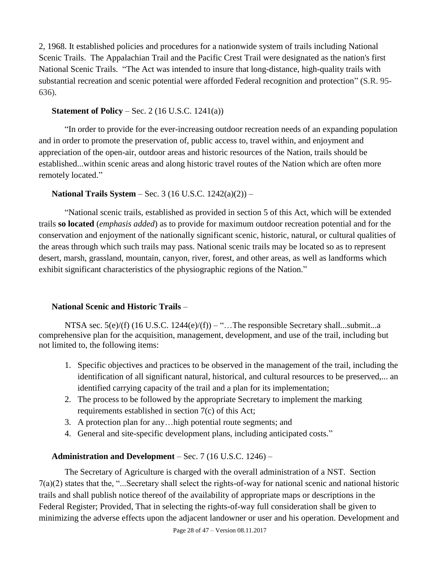2, 1968. It established policies and procedures for a nationwide system of trails including National Scenic Trails. The Appalachian Trail and the Pacific Crest Trail were designated as the nation's first National Scenic Trails. "The Act was intended to insure that long-distance, high-quality trails with substantial recreation and scenic potential were afforded Federal recognition and protection" (S.R. 95- 636).

### **Statement of Policy** – Sec. 2 (16 U.S.C. 1241(a))

"In order to provide for the ever-increasing outdoor recreation needs of an expanding population and in order to promote the preservation of, public access to, travel within, and enjoyment and appreciation of the open-air, outdoor areas and historic resources of the Nation, trails should be established...within scenic areas and along historic travel routes of the Nation which are often more remotely located."

## **National Trails System** – Sec. 3 (16 U.S.C. 1242(a)(2)) –

"National scenic trails, established as provided in section 5 of this Act, which will be extended trails **so located** (*emphasis added*) as to provide for maximum outdoor recreation potential and for the conservation and enjoyment of the nationally significant scenic, historic, natural, or cultural qualities of the areas through which such trails may pass. National scenic trails may be located so as to represent desert, marsh, grassland, mountain, canyon, river, forest, and other areas, as well as landforms which exhibit significant characteristics of the physiographic regions of the Nation."

## **National Scenic and Historic Trails** –

NTSA sec.  $5(e)/(f)$  (16 U.S.C. 1244 $(e)/(f)$ ) – "... The responsible Secretary shall...submit...a comprehensive plan for the acquisition, management, development, and use of the trail, including but not limited to, the following items:

- 1. Specific objectives and practices to be observed in the management of the trail, including the identification of all significant natural, historical, and cultural resources to be preserved,... an identified carrying capacity of the trail and a plan for its implementation;
- 2. The process to be followed by the appropriate Secretary to implement the marking requirements established in section 7(c) of this Act;
- 3. A protection plan for any…high potential route segments; and
- 4. General and site-specific development plans, including anticipated costs."

## **Administration and Development** – Sec. 7 (16 U.S.C. 1246) –

The Secretary of Agriculture is charged with the overall administration of a NST. Section 7(a)(2) states that the, "...Secretary shall select the rights-of-way for national scenic and national historic trails and shall publish notice thereof of the availability of appropriate maps or descriptions in the Federal Register; Provided, That in selecting the rights-of-way full consideration shall be given to minimizing the adverse effects upon the adjacent landowner or user and his operation. Development and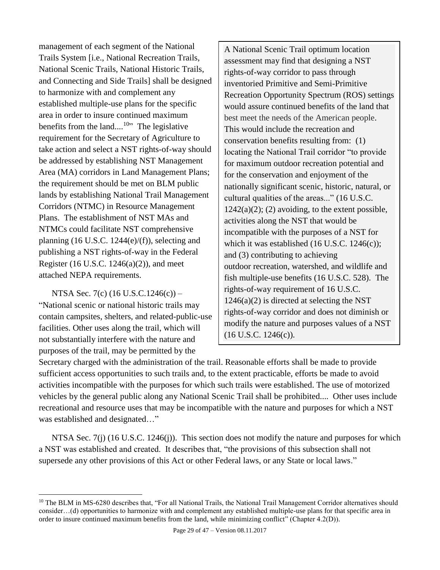management of each segment of the National Trails System [i.e., National Recreation Trails, National Scenic Trails, National Historic Trails, and Connecting and Side Trails] shall be designed to harmonize with and complement any established multiple-use plans for the specific area in order to insure continued maximum benefits from the land....<sup>10</sup><sup>3</sup> The legislative requirement for the Secretary of Agriculture to take action and select a NST rights-of-way should be addressed by establishing NST Management Area (MA) corridors in Land Management Plans; the requirement should be met on BLM public lands by establishing National Trail Management Corridors (NTMC) in Resource Management Plans. The establishment of NST MAs and NTMCs could facilitate NST comprehensive planning  $(16 \text{ U.S.C. } 1244\text{(e)}/\text{(f)}),$  selecting and publishing a NST rights-of-way in the Federal Register (16 U.S.C. 1246(a)(2)), and meet attached NEPA requirements.

NTSA Sec. 7(c) (16 U.S.C.1246(c)) – "National scenic or national historic trails may contain campsites, shelters, and related-public-use facilities. Other uses along the trail, which will not substantially interfere with the nature and purposes of the trail, may be permitted by the

 $\overline{a}$ 

A National Scenic Trail optimum location assessment may find that designing a NST rights-of-way corridor to pass through inventoried Primitive and Semi-Primitive Recreation Opportunity Spectrum (ROS) settings would assure continued benefits of the land that best meet the needs of the American people. This would include the recreation and conservation benefits resulting from: (1) locating the National Trail corridor "to provide for maximum outdoor recreation potential and for the conservation and enjoyment of the nationally significant scenic, historic, natural, or cultural qualities of the areas..." (16 U.S.C.  $1242(a)(2)$ ; (2) avoiding, to the extent possible, activities along the NST that would be incompatible with the purposes of a NST for which it was established (16 U.S.C. 1246(c)); and (3) contributing to achieving outdoor recreation, watershed, and wildlife and fish multiple-use benefits (16 U.S.C. 528). The rights-of-way requirement of 16 U.S.C.  $1246(a)(2)$  is directed at selecting the NST rights-of-way corridor and does not diminish or modify the nature and purposes values of a NST (16 U.S.C. 1246(c)).

Secretary charged with the administration of the trail. Reasonable efforts shall be made to provide sufficient access opportunities to such trails and, to the extent practicable, efforts be made to avoid activities incompatible with the purposes for which such trails were established. The use of motorized vehicles by the general public along any National Scenic Trail shall be prohibited.... Other uses include recreational and resource uses that may be incompatible with the nature and purposes for which a NST was established and designated…"

NTSA Sec. 7(j) (16 U.S.C. 1246(j)). This section does not modify the nature and purposes for which a NST was established and created. It describes that, "the provisions of this subsection shall not supersede any other provisions of this Act or other Federal laws, or any State or local laws."

<sup>&</sup>lt;sup>10</sup> The BLM in MS-6280 describes that, "For all National Trails, the National Trail Management Corridor alternatives should consider…(d) opportunities to harmonize with and complement any established multiple-use plans for that specific area in order to insure continued maximum benefits from the land, while minimizing conflict" (Chapter 4.2(D)).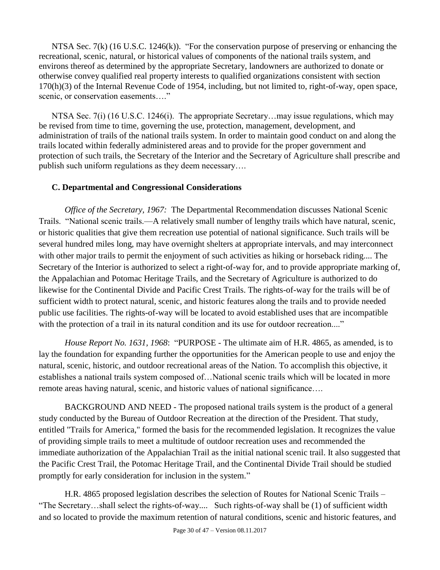NTSA Sec. 7(k) (16 U.S.C. 1246(k)). "For the conservation purpose of preserving or enhancing the recreational, scenic, natural, or historical values of components of the national trails system, and environs thereof as determined by the appropriate Secretary, landowners are authorized to donate or otherwise convey qualified real property interests to qualified organizations consistent with section 170(h)(3) of the Internal Revenue Code of 1954, including, but not limited to, right-of-way, open space, scenic, or conservation easements…."

NTSA Sec. 7(i) (16 U.S.C. 1246(i). The appropriate Secretary...may issue regulations, which may be revised from time to time, governing the use, protection, management, development, and administration of trails of the national trails system. In order to maintain good conduct on and along the trails located within federally administered areas and to provide for the proper government and protection of such trails, the Secretary of the Interior and the Secretary of Agriculture shall prescribe and publish such uniform regulations as they deem necessary….

#### <span id="page-29-0"></span>**C. Departmental and Congressional Considerations**

*Office of the Secretary, 1967:* The Departmental Recommendation discusses National Scenic Trails. "National scenic trails.—A relatively small number of lengthy trails which have natural, scenic, or historic qualities that give them recreation use potential of national significance. Such trails will be several hundred miles long, may have overnight shelters at appropriate intervals, and may interconnect with other major trails to permit the enjoyment of such activities as hiking or horseback riding.... The Secretary of the Interior is authorized to select a right-of-way for, and to provide appropriate marking of, the Appalachian and Potomac Heritage Trails, and the Secretary of Agriculture is authorized to do likewise for the Continental Divide and Pacific Crest Trails. The rights-of-way for the trails will be of sufficient width to protect natural, scenic, and historic features along the trails and to provide needed public use facilities. The rights-of-way will be located to avoid established uses that are incompatible with the protection of a trail in its natural condition and its use for outdoor recreation...."

*House Report No. 1631, 1968*: "PURPOSE - The ultimate aim of H.R. 4865, as amended, is to lay the foundation for expanding further the opportunities for the American people to use and enjoy the natural, scenic, historic, and outdoor recreational areas of the Nation. To accomplish this objective, it establishes a national trails system composed of…National scenic trails which will be located in more remote areas having natural, scenic, and historic values of national significance….

BACKGROUND AND NEED - The proposed national trails system is the product of a general study conducted by the Bureau of Outdoor Recreation at the direction of the President. That study, entitled "Trails for America," formed the basis for the recommended legislation. It recognizes the value of providing simple trails to meet a multitude of outdoor recreation uses and recommended the immediate authorization of the Appalachian Trail as the initial national scenic trail. It also suggested that the Pacific Crest Trail, the Potomac Heritage Trail, and the Continental Divide Trail should be studied promptly for early consideration for inclusion in the system."

H.R. 4865 proposed legislation describes the *s*election of Routes for National Scenic Trails – "The Secretary…shall select the rights-of-way.... Such rights-of-way shall be (1) of sufficient width and so located to provide the maximum retention of natural conditions, scenic and historic features, and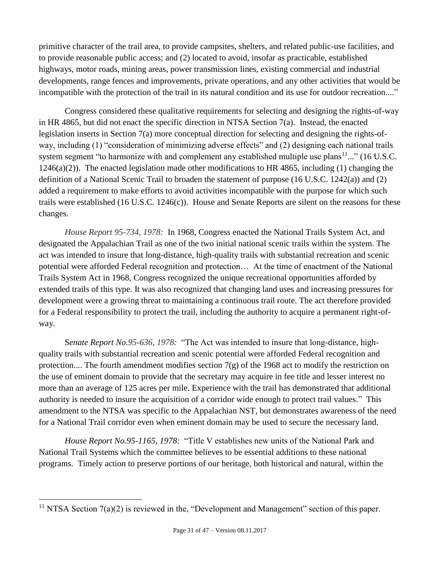primitive character of the trail area, to provide campsites, shelters, and related public-use facilities, and to provide reasonable public access; and (2) located to avoid, insofar as practicable, established highways, motor roads, mining areas, power transmission lines, existing commercial and industrial developments, range fences and improvements, private operations, and any other activities that would be incompatible with the protection of the trail in its natural condition and its use for outdoor recreation...."

Congress considered these qualitative requirements for selecting and designing the rights-of-way in HR 4865, but did not enact the specific direction in NTSA Section 7(a). Instead, the enacted legislation inserts in Section 7(a) more conceptual direction for selecting and designing the rights-ofway, including (1) "consideration of minimizing adverse effects" and (2) designing each national trails system segment "to harmonize with and complement any established multiple use plans $11...$ " (16 U.S.C.  $1246(a)(2)$ ). The enacted legislation made other modifications to HR 4865, including (1) changing the definition of a National Scenic Trail to broaden the statement of purpose (16 U.S.C. 1242(a)) and (2) added a requirement to make efforts to avoid activities incompatible with the purpose for which such trails were established (16 U.S.C. 1246(c)). House and Senate Reports are silent on the reasons for these changes.

*House Report 95-734, 1978:* In 1968, Congress enacted the National Trails System Act, and designated the Appalachian Trail as one of the two initial national scenic trails within the system. The act was intended to insure that long-distance, high-quality trails with substantial recreation and scenic potential were afforded Federal recognition and protection… At the time of enactment of the National Trails System Act in 1968, Congress recognized the unique recreational opportunities afforded by extended trails of this type. It was also recognized that changing land uses and increasing pressures for development were a growing threat to maintaining a continuous trail route. The act therefore provided for a Federal responsibility to protect the trail, including the authority to acquire a permanent right-ofway.

S*enate Report No.95-636, 1978:* "The Act was intended to insure that long-distance, highquality trails with substantial recreation and scenic potential were afforded Federal recognition and protection.... The fourth amendment modifies section  $7(g)$  of the 1968 act to modify the restriction on the use of eminent domain to provide that the secretary may acquire in fee title and lesser interest no more than an average of 125 acres per mile. Experience with the trail has demonstrated that additional authority is needed to insure the acquisition of a corridor wide enough to protect trail values." This amendment to the NTSA was specific to the Appalachian NST, but demonstrates awareness of the need for a National Trail corridor even when eminent domain may be used to secure the necessary land.

*House Report No.95-1165, 1978:* "Title V establishes new units of the National Park and National Trail Systems which the committee believes to be essential additions to these national programs. Timely action to preserve portions of our heritage, both historical and natural, within the

 $\overline{a}$ 

<sup>&</sup>lt;sup>11</sup> NTSA Section  $7(a)(2)$  is reviewed in the, "Development and Management" section of this paper.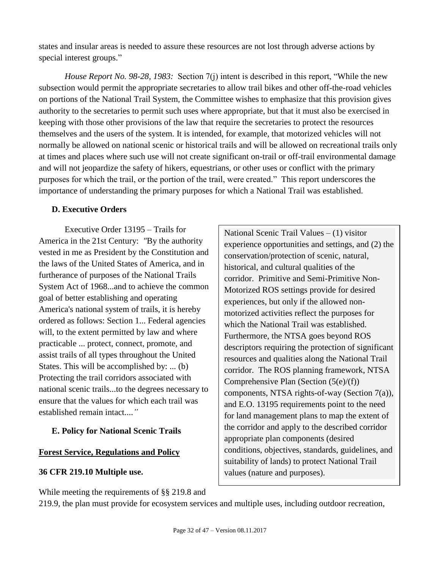states and insular areas is needed to assure these resources are not lost through adverse actions by special interest groups."

*House Report No. 98-28, 1983:* Section 7(j) intent is described in this report, "While the new subsection would permit the appropriate secretaries to allow trail bikes and other off-the-road vehicles on portions of the National Trail System, the Committee wishes to emphasize that this provision gives authority to the secretaries to permit such uses where appropriate, but that it must also be exercised in keeping with those other provisions of the law that require the secretaries to protect the resources themselves and the users of the system. It is intended, for example, that motorized vehicles will not normally be allowed on national scenic or historical trails and will be allowed on recreational trails only at times and places where such use will not create significant on-trail or off-trail environmental damage and will not jeopardize the safety of hikers, equestrians, or other uses or conflict with the primary purposes for which the trail, or the portion of the trail, were created." This report underscores the importance of understanding the primary purposes for which a National Trail was established.

#### <span id="page-31-0"></span>**D. Executive Orders**

Executive Order 13195 – Trails for America in the 21st Century: *"*By the authority vested in me as President by the Constitution and the laws of the United States of America, and in furtherance of purposes of the National Trails System Act of 1968...and to achieve the common goal of better establishing and operating America's national system of trails, it is hereby ordered as follows: Section 1... Federal agencies will, to the extent permitted by law and where practicable ... protect, connect, promote, and assist trails of all types throughout the United States. This will be accomplished by: ... (b) Protecting the trail corridors associated with national scenic trails...to the degrees necessary to ensure that the values for which each trail was established remain intact....*"*

## <span id="page-31-1"></span>**E. Policy for National Scenic Trails**

#### **Forest Service, Regulations and Policy**

## **36 CFR 219.10 Multiple use.**

While meeting the requirements of §§ 219.8 and

National Scenic Trail Values – (1) visitor experience opportunities and settings, and (2) the conservation/protection of scenic, natural, historical, and cultural qualities of the corridor. Primitive and Semi-Primitive Non-Motorized ROS settings provide for desired experiences, but only if the allowed nonmotorized activities reflect the purposes for which the National Trail was established. Furthermore, the NTSA goes beyond ROS descriptors requiring the protection of significant resources and qualities along the National Trail corridor. The ROS planning framework, NTSA Comprehensive Plan (Section (5(e)/(f)) components, NTSA rights-of-way (Section 7(a)), and E.O. 13195 requirements point to the need for land management plans to map the extent of the corridor and apply to the described corridor appropriate plan components (desired conditions, objectives, standards, guidelines, and suitability of lands) to protect National Trail values (nature and purposes).

219.9, the plan must provide for ecosystem services and multiple uses, including outdoor recreation,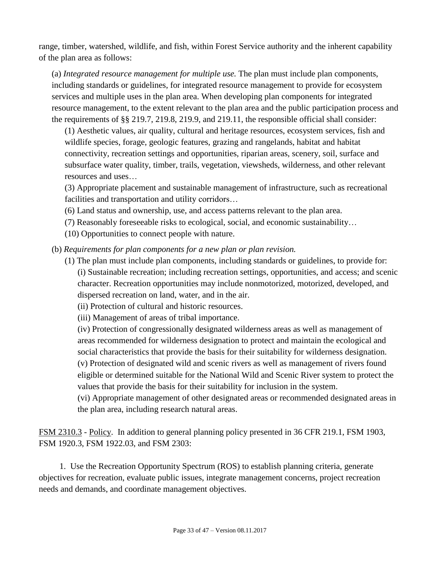range, timber, watershed, wildlife, and fish, within Forest Service authority and the inherent capability of the plan area as follows:

(a) *Integrated resource management for multiple use.* The plan must include plan components, including standards or guidelines, for integrated resource management to provide for ecosystem services and multiple uses in the plan area. When developing plan components for integrated resource management, to the extent relevant to the plan area and the public participation process and the requirements of §§ 219.7, 219.8, 219.9, and 219.11, the responsible official shall consider:

(1) Aesthetic values, air quality, cultural and heritage resources, ecosystem services, fish and wildlife species, forage, geologic features, grazing and rangelands, habitat and habitat connectivity, recreation settings and opportunities, riparian areas, scenery, soil, surface and subsurface water quality, timber, trails, vegetation, viewsheds, wilderness, and other relevant resources and uses…

(3) Appropriate placement and sustainable management of infrastructure, such as recreational facilities and transportation and utility corridors…

- (6) Land status and ownership, use, and access patterns relevant to the plan area.
- (7) Reasonably foreseeable risks to ecological, social, and economic sustainability…
- (10) Opportunities to connect people with nature.
- (b) *Requirements for plan components for a new plan or plan revision.* 
	- (1) The plan must include plan components, including standards or guidelines, to provide for: (i) Sustainable recreation; including recreation settings, opportunities, and access; and scenic character. Recreation opportunities may include nonmotorized, motorized, developed, and dispersed recreation on land, water, and in the air.
		- (ii) Protection of cultural and historic resources.
		- (iii) Management of areas of tribal importance.

(iv) Protection of congressionally designated wilderness areas as well as management of areas recommended for wilderness designation to protect and maintain the ecological and social characteristics that provide the basis for their suitability for wilderness designation. (v) Protection of designated wild and scenic rivers as well as management of rivers found eligible or determined suitable for the National Wild and Scenic River system to protect the values that provide the basis for their suitability for inclusion in the system.

(vi) Appropriate management of other designated areas or recommended designated areas in the plan area, including research natural areas.

FSM 2310.3 - Policy. In addition to general planning policy presented in 36 CFR 219.1, FSM 1903, FSM 1920.3, FSM 1922.03, and FSM 2303:

1. Use the Recreation Opportunity Spectrum (ROS) to establish planning criteria, generate objectives for recreation, evaluate public issues, integrate management concerns, project recreation needs and demands, and coordinate management objectives.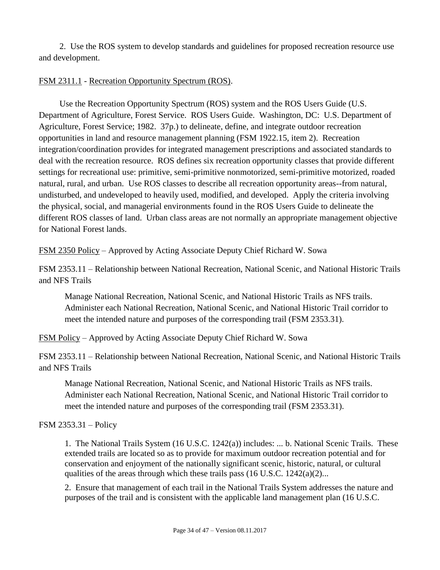2. Use the ROS system to develop standards and guidelines for proposed recreation resource use and development.

#### FSM 2311.1 - Recreation Opportunity Spectrum (ROS).

Use the Recreation Opportunity Spectrum (ROS) system and the ROS Users Guide (U.S. Department of Agriculture, Forest Service. ROS Users Guide. Washington, DC: U.S. Department of Agriculture, Forest Service; 1982. 37p.) to delineate, define, and integrate outdoor recreation opportunities in land and resource management planning (FSM 1922.15, item 2). Recreation integration/coordination provides for integrated management prescriptions and associated standards to deal with the recreation resource. ROS defines six recreation opportunity classes that provide different settings for recreational use: primitive, semi-primitive nonmotorized, semi-primitive motorized, roaded natural, rural, and urban. Use ROS classes to describe all recreation opportunity areas--from natural, undisturbed, and undeveloped to heavily used, modified, and developed. Apply the criteria involving the physical, social, and managerial environments found in the ROS Users Guide to delineate the different ROS classes of land. Urban class areas are not normally an appropriate management objective for National Forest lands.

FSM 2350 Policy – Approved by Acting Associate Deputy Chief Richard W. Sowa

FSM 2353.11 – Relationship between National Recreation, National Scenic, and National Historic Trails and NFS Trails

Manage National Recreation, National Scenic, and National Historic Trails as NFS trails. Administer each National Recreation, National Scenic, and National Historic Trail corridor to meet the intended nature and purposes of the corresponding trail (FSM 2353.31).

FSM Policy – Approved by Acting Associate Deputy Chief Richard W. Sowa

FSM 2353.11 – Relationship between National Recreation, National Scenic, and National Historic Trails and NFS Trails

Manage National Recreation, National Scenic, and National Historic Trails as NFS trails. Administer each National Recreation, National Scenic, and National Historic Trail corridor to meet the intended nature and purposes of the corresponding trail (FSM 2353.31).

#### FSM 2353.31 – Policy

1. The National Trails System (16 U.S.C. 1242(a)) includes: ... b. National Scenic Trails. These extended trails are located so as to provide for maximum outdoor recreation potential and for conservation and enjoyment of the nationally significant scenic, historic, natural, or cultural qualities of the areas through which these trails pass (16 U.S.C. 1242(a)(2)...

2. Ensure that management of each trail in the National Trails System addresses the nature and purposes of the trail and is consistent with the applicable land management plan (16 U.S.C.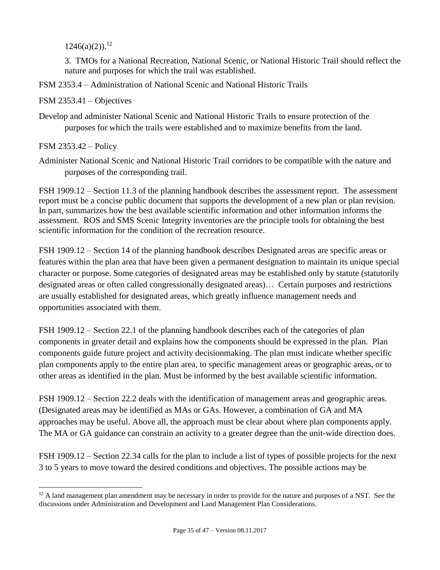$1246(a)(2)$ .<sup>12</sup>

3. TMOs for a National Recreation, National Scenic, or National Historic Trail should reflect the nature and purposes for which the trail was established.

FSM 2353.4 – Administration of National Scenic and National Historic Trails

FSM 2353.41 – Objectives

Develop and administer National Scenic and National Historic Trails to ensure protection of the purposes for which the trails were established and to maximize benefits from the land.

FSM 2353.42 – Policy

 $\overline{a}$ 

Administer National Scenic and National Historic Trail corridors to be compatible with the nature and purposes of the corresponding trail.

FSH 1909.12 – Section 11.3 of the planning handbook describes the assessment report. The assessment report must be a concise public document that supports the development of a new plan or plan revision. In part, summarizes how the best available scientific information and other information informs the assessment. ROS and SMS Scenic Integrity inventories are the principle tools for obtaining the best scientific information for the condition of the recreation resource.

FSH 1909.12 – Section 14 of the planning handbook describes Designated areas are specific areas or features within the plan area that have been given a permanent designation to maintain its unique special character or purpose. Some categories of designated areas may be established only by statute (statutorily designated areas or often called congressionally designated areas)… Certain purposes and restrictions are usually established for designated areas, which greatly influence management needs and opportunities associated with them.

FSH 1909.12 – Section 22.1 of the planning handbook describes each of the categories of plan components in greater detail and explains how the components should be expressed in the plan. Plan components guide future project and activity decisionmaking. The plan must indicate whether specific plan components apply to the entire plan area, to specific management areas or geographic areas, or to other areas as identified in the plan. Must be informed by the best available scientific information.

FSH 1909.12 – Section 22.2 deals with the identification of management areas and geographic areas. (Designated areas may be identified as MAs or GAs. However, a combination of GA and MA approaches may be useful. Above all, the approach must be clear about where plan components apply. The MA or GA guidance can constrain an activity to a greater degree than the unit-wide direction does.

FSH 1909.12 – Section 22.34 calls for the plan to include a list of types of possible projects for the next 3 to 5 years to move toward the desired conditions and objectives. The possible actions may be

 $12$  A land management plan amendment may be necessary in order to provide for the nature and purposes of a NST. See the discussions under Administration and Development and Land Management Plan Considerations.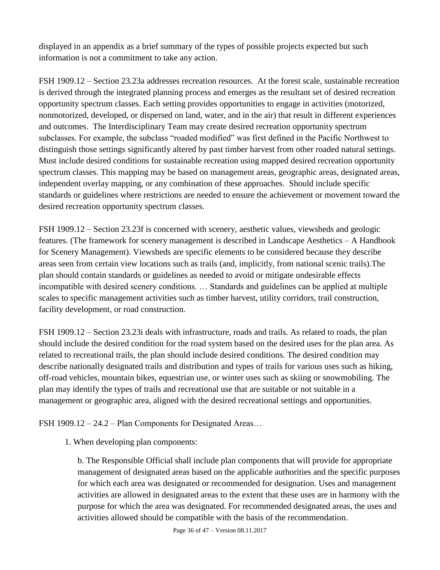displayed in an appendix as a brief summary of the types of possible projects expected but such information is not a commitment to take any action.

FSH 1909.12 – Section 23.23a addresses recreation resources. At the forest scale, sustainable recreation is derived through the integrated planning process and emerges as the resultant set of desired recreation opportunity spectrum classes. Each setting provides opportunities to engage in activities (motorized, nonmotorized, developed, or dispersed on land, water, and in the air) that result in different experiences and outcomes. The Interdisciplinary Team may create desired recreation opportunity spectrum subclasses. For example, the subclass "roaded modified" was first defined in the Pacific Northwest to distinguish those settings significantly altered by past timber harvest from other roaded natural settings. Must include desired conditions for sustainable recreation using mapped desired recreation opportunity spectrum classes. This mapping may be based on management areas, geographic areas, designated areas, independent overlay mapping, or any combination of these approaches. Should include specific standards or guidelines where restrictions are needed to ensure the achievement or movement toward the desired recreation opportunity spectrum classes.

FSH 1909.12 – Section 23.23f is concerned with scenery, aesthetic values, viewsheds and geologic features. (The framework for scenery management is described in Landscape Aesthetics – A Handbook for Scenery Management). Viewsheds are specific elements to be considered because they describe areas seen from certain view locations such as trails (and, implicitly, from national scenic trails).The plan should contain standards or guidelines as needed to avoid or mitigate undesirable effects incompatible with desired scenery conditions. … Standards and guidelines can be applied at multiple scales to specific management activities such as timber harvest, utility corridors, trail construction, facility development, or road construction.

FSH 1909.12 – Section 23.23i deals with infrastructure, roads and trails. As related to roads, the plan should include the desired condition for the road system based on the desired uses for the plan area. As related to recreational trails, the plan should include desired conditions. The desired condition may describe nationally designated trails and distribution and types of trails for various uses such as hiking, off-road vehicles, mountain bikes, equestrian use, or winter uses such as skiing or snowmobiling. The plan may identify the types of trails and recreational use that are suitable or not suitable in a management or geographic area, aligned with the desired recreational settings and opportunities.

FSH 1909.12 – 24.2 – Plan Components for Designated Areas…

1. When developing plan components:

b. The Responsible Official shall include plan components that will provide for appropriate management of designated areas based on the applicable authorities and the specific purposes for which each area was designated or recommended for designation. Uses and management activities are allowed in designated areas to the extent that these uses are in harmony with the purpose for which the area was designated. For recommended designated areas, the uses and activities allowed should be compatible with the basis of the recommendation.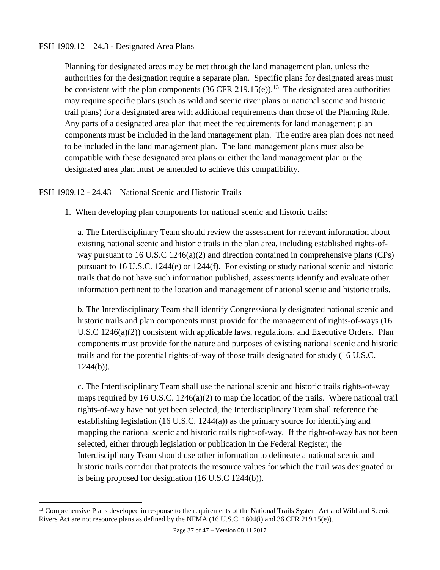#### FSH 1909.12 – 24.3 - Designated Area Plans

Planning for designated areas may be met through the land management plan, unless the authorities for the designation require a separate plan. Specific plans for designated areas must be consistent with the plan components  $(36 \text{ CFR } 219.15(e))$ .<sup>13</sup> The designated area authorities may require specific plans (such as wild and scenic river plans or national scenic and historic trail plans) for a designated area with additional requirements than those of the Planning Rule. Any parts of a designated area plan that meet the requirements for land management plan components must be included in the land management plan. The entire area plan does not need to be included in the land management plan. The land management plans must also be compatible with these designated area plans or either the land management plan or the designated area plan must be amended to achieve this compatibility.

#### FSH 1909.12 - 24.43 – National Scenic and Historic Trails

 $\overline{a}$ 

1. When developing plan components for national scenic and historic trails:

a. The Interdisciplinary Team should review the assessment for relevant information about existing national scenic and historic trails in the plan area, including established rights-ofway pursuant to 16 U.S.C 1246(a)(2) and direction contained in comprehensive plans (CPs) pursuant to 16 U.S.C. 1244(e) or 1244(f). For existing or study national scenic and historic trails that do not have such information published, assessments identify and evaluate other information pertinent to the location and management of national scenic and historic trails.

b. The Interdisciplinary Team shall identify Congressionally designated national scenic and historic trails and plan components must provide for the management of rights-of-ways (16 U.S.C 1246(a)(2)) consistent with applicable laws, regulations, and Executive Orders. Plan components must provide for the nature and purposes of existing national scenic and historic trails and for the potential rights-of-way of those trails designated for study (16 U.S.C.  $1244(b)$ ).

c. The Interdisciplinary Team shall use the national scenic and historic trails rights-of-way maps required by 16 U.S.C.  $1246(a)(2)$  to map the location of the trails. Where national trail rights-of-way have not yet been selected, the Interdisciplinary Team shall reference the establishing legislation (16 U.S.C. 1244(a)) as the primary source for identifying and mapping the national scenic and historic trails right-of-way. If the right-of-way has not been selected, either through legislation or publication in the Federal Register, the Interdisciplinary Team should use other information to delineate a national scenic and historic trails corridor that protects the resource values for which the trail was designated or is being proposed for designation (16 U.S.C 1244(b)).

<sup>&</sup>lt;sup>13</sup> Comprehensive Plans developed in response to the requirements of the National Trails System Act and Wild and Scenic Rivers Act are not resource plans as defined by the NFMA (16 U.S.C. 1604(i) and 36 CFR 219.15(e)).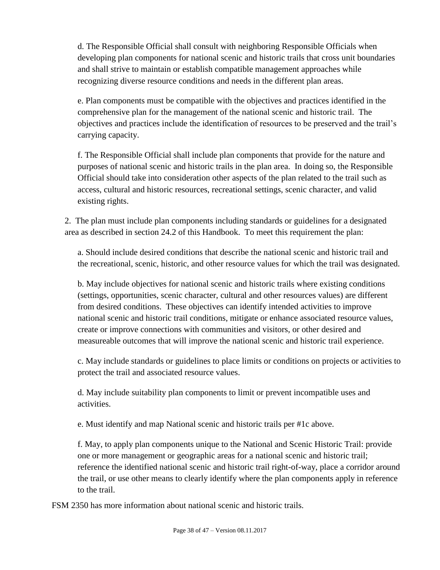d. The Responsible Official shall consult with neighboring Responsible Officials when developing plan components for national scenic and historic trails that cross unit boundaries and shall strive to maintain or establish compatible management approaches while recognizing diverse resource conditions and needs in the different plan areas.

e. Plan components must be compatible with the objectives and practices identified in the comprehensive plan for the management of the national scenic and historic trail. The objectives and practices include the identification of resources to be preserved and the trail's carrying capacity.

f. The Responsible Official shall include plan components that provide for the nature and purposes of national scenic and historic trails in the plan area. In doing so, the Responsible Official should take into consideration other aspects of the plan related to the trail such as access, cultural and historic resources, recreational settings, scenic character, and valid existing rights.

2. The plan must include plan components including standards or guidelines for a designated area as described in section 24.2 of this Handbook. To meet this requirement the plan:

a. Should include desired conditions that describe the national scenic and historic trail and the recreational, scenic, historic, and other resource values for which the trail was designated.

b. May include objectives for national scenic and historic trails where existing conditions (settings, opportunities, scenic character, cultural and other resources values) are different from desired conditions. These objectives can identify intended activities to improve national scenic and historic trail conditions, mitigate or enhance associated resource values, create or improve connections with communities and visitors, or other desired and measureable outcomes that will improve the national scenic and historic trail experience.

c. May include standards or guidelines to place limits or conditions on projects or activities to protect the trail and associated resource values.

d. May include suitability plan components to limit or prevent incompatible uses and activities.

e. Must identify and map National scenic and historic trails per #1c above.

f. May, to apply plan components unique to the National and Scenic Historic Trail: provide one or more management or geographic areas for a national scenic and historic trail; reference the identified national scenic and historic trail right-of-way, place a corridor around the trail, or use other means to clearly identify where the plan components apply in reference to the trail.

FSM 2350 has more information about national scenic and historic trails.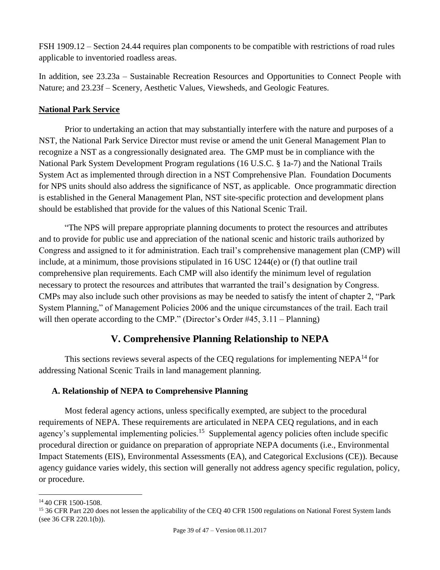FSH 1909.12 – Section 24.44 requires plan components to be compatible with restrictions of road rules applicable to inventoried roadless areas.

In addition, see 23.23a – Sustainable Recreation Resources and Opportunities to Connect People with Nature; and 23.23f – Scenery, Aesthetic Values, Viewsheds, and Geologic Features.

#### **National Park Service**

Prior to undertaking an action that may substantially interfere with the nature and purposes of a NST, the National Park Service Director must revise or amend the unit General Management Plan to recognize a NST as a congressionally designated area. The GMP must be in compliance with the National Park System Development Program regulations (16 U.S.C. § 1a-7) and the National Trails System Act as implemented through direction in a NST Comprehensive Plan. Foundation Documents for NPS units should also address the significance of NST, as applicable. Once programmatic direction is established in the General Management Plan, NST site-specific protection and development plans should be established that provide for the values of this National Scenic Trail.

"The NPS will prepare appropriate planning documents to protect the resources and attributes and to provide for public use and appreciation of the national scenic and historic trails authorized by Congress and assigned to it for administration. Each trail's comprehensive management plan (CMP) will include, at a minimum, those provisions stipulated in 16 USC 1244(e) or (f) that outline trail comprehensive plan requirements. Each CMP will also identify the minimum level of regulation necessary to protect the resources and attributes that warranted the trail's designation by Congress. CMPs may also include such other provisions as may be needed to satisfy the intent of chapter 2, "Park System Planning," of Management Policies 2006 and the unique circumstances of the trail. Each trail will then operate according to the CMP." (Director's Order #45, 3.11 – Planning)

## **V. Comprehensive Planning Relationship to NEPA**

<span id="page-38-0"></span>This sections reviews several aspects of the CEQ regulations for implementing NEP $A^{14}$  for addressing National Scenic Trails in land management planning.

## <span id="page-38-1"></span>**A. Relationship of NEPA to Comprehensive Planning**

Most federal agency actions, unless specifically exempted, are subject to the procedural requirements of NEPA. These requirements are articulated in NEPA CEQ regulations, and in each agency's supplemental implementing policies.<sup>15</sup> Supplemental agency policies often include specific procedural direction or guidance on preparation of appropriate NEPA documents (i.e., Environmental Impact Statements (EIS), Environmental Assessments (EA), and Categorical Exclusions (CE)). Because agency guidance varies widely, this section will generally not address agency specific regulation, policy, or procedure.

 $\overline{a}$ <sup>14</sup> 40 CFR 1500-1508.

<sup>&</sup>lt;sup>15</sup> 36 CFR Part 220 does not lessen the applicability of the CEQ 40 CFR 1500 regulations on National Forest System lands (see 36 CFR 220.1(b)).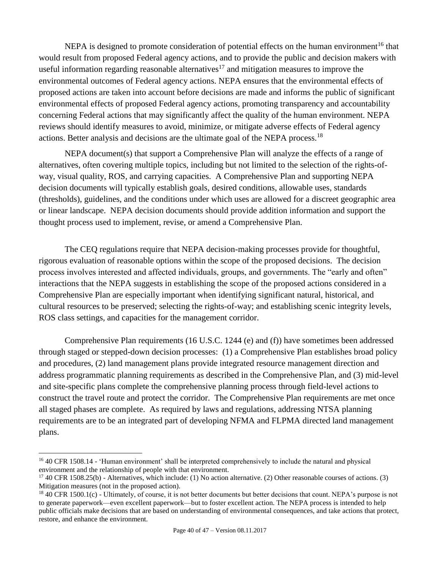NEPA is designed to promote consideration of potential effects on the human environment<sup>16</sup> that would result from proposed Federal agency actions, and to provide the public and decision makers with useful information regarding reasonable alternatives<sup>17</sup> and mitigation measures to improve the environmental outcomes of Federal agency actions. NEPA ensures that the environmental effects of proposed actions are taken into account before decisions are made and informs the public of significant environmental effects of proposed Federal agency actions, promoting transparency and accountability concerning Federal actions that may significantly affect the quality of the human environment. NEPA reviews should identify measures to avoid, minimize, or mitigate adverse effects of Federal agency actions. Better analysis and decisions are the ultimate goal of the NEPA process.<sup>18</sup>

NEPA document(s) that support a Comprehensive Plan will analyze the effects of a range of alternatives, often covering multiple topics, including but not limited to the selection of the rights-ofway, visual quality, ROS, and carrying capacities. A Comprehensive Plan and supporting NEPA decision documents will typically establish goals, desired conditions, allowable uses, standards (thresholds), guidelines, and the conditions under which uses are allowed for a discreet geographic area or linear landscape. NEPA decision documents should provide addition information and support the thought process used to implement, revise, or amend a Comprehensive Plan.

The CEQ regulations require that NEPA decision-making processes provide for thoughtful, rigorous evaluation of reasonable options within the scope of the proposed decisions. The decision process involves interested and affected individuals, groups, and governments. The "early and often" interactions that the NEPA suggests in establishing the scope of the proposed actions considered in a Comprehensive Plan are especially important when identifying significant natural, historical, and cultural resources to be preserved; selecting the rights-of-way; and establishing scenic integrity levels, ROS class settings, and capacities for the management corridor.

Comprehensive Plan requirements (16 U.S.C. 1244 (e) and (f)) have sometimes been addressed through staged or stepped-down decision processes: (1) a Comprehensive Plan establishes broad policy and procedures, (2) land management plans provide integrated resource management direction and address programmatic planning requirements as described in the Comprehensive Plan, and (3) mid-level and site-specific plans complete the comprehensive planning process through field-level actions to construct the travel route and protect the corridor. The Comprehensive Plan requirements are met once all staged phases are complete. As required by laws and regulations, addressing NTSA planning requirements are to be an integrated part of developing NFMA and FLPMA directed land management plans.

 $\overline{a}$ 

<sup>16</sup> 40 CFR 1508.14 - 'Human environment' shall be interpreted comprehensively to include the natural and physical environment and the relationship of people with that environment.

<sup>17</sup> 40 CFR 1508.25(b) - Alternatives, which include: (1) No action alternative. (2) Other reasonable courses of actions. (3) Mitigation measures (not in the proposed action).

<sup>&</sup>lt;sup>18</sup> 40 CFR 1500.1(c) - Ultimately, of course, it is not better documents but better decisions that count. NEPA's purpose is not to generate paperwork—even excellent paperwork—but to foster excellent action. The NEPA process is intended to help public officials make decisions that are based on understanding of environmental consequences, and take actions that protect, restore, and enhance the environment.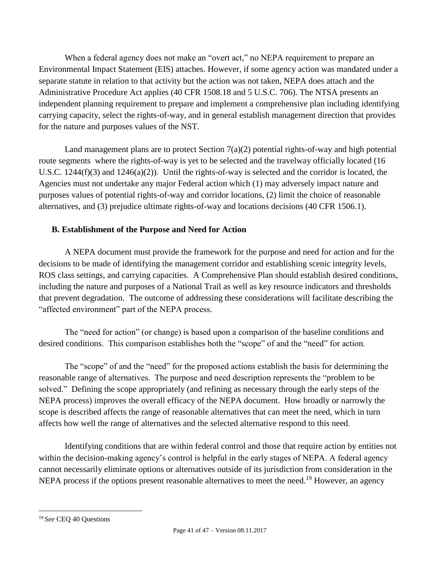When a federal agency does not make an "overt act," no NEPA requirement to prepare an Environmental Impact Statement (EIS) attaches. However, if some agency action was mandated under a separate statute in relation to that activity but the action was not taken, NEPA does attach and the Administrative Procedure Act applies (40 CFR 1508.18 and 5 U.S.C. 706). The NTSA presents an independent planning requirement to prepare and implement a comprehensive plan including identifying carrying capacity, select the rights-of-way, and in general establish management direction that provides for the nature and purposes values of the NST.

Land management plans are to protect Section  $7(a)(2)$  potential rights-of-way and high potential route segments where the rights-of-way is yet to be selected and the travelway officially located (16) U.S.C. 1244(f)(3) and 1246(a)(2)). Until the rights-of-way is selected and the corridor is located, the Agencies must not undertake any major Federal action which (1) may adversely impact nature and purposes values of potential rights-of-way and corridor locations, (2) limit the choice of reasonable alternatives, and (3) prejudice ultimate rights-of-way and locations decisions (40 CFR 1506.1).

## <span id="page-40-0"></span>**B. Establishment of the Purpose and Need for Action**

A NEPA document must provide the framework for the purpose and need for action and for the decisions to be made of identifying the management corridor and establishing scenic integrity levels, ROS class settings, and carrying capacities. A Comprehensive Plan should establish desired conditions, including the nature and purposes of a National Trail as well as key resource indicators and thresholds that prevent degradation. The outcome of addressing these considerations will facilitate describing the "affected environment" part of the NEPA process.

The "need for action" (or change) is based upon a comparison of the baseline conditions and desired conditions. This comparison establishes both the "scope" of and the "need" for action.

The "scope" of and the "need" for the proposed actions establish the basis for determining the reasonable range of alternatives. The purpose and need description represents the "problem to be solved." Defining the scope appropriately (and refining as necessary through the early steps of the NEPA process) improves the overall efficacy of the NEPA document. How broadly or narrowly the scope is described affects the range of reasonable alternatives that can meet the need, which in turn affects how well the range of alternatives and the selected alternative respond to this need.

Identifying conditions that are within federal control and those that require action by entities not within the decision-making agency's control is helpful in the early stages of NEPA. A federal agency cannot necessarily eliminate options or alternatives outside of its jurisdiction from consideration in the NEPA process if the options present reasonable alternatives to meet the need.<sup>19</sup> However, an agency

 $\overline{a}$ <sup>19</sup> *See* CEQ 40 Questions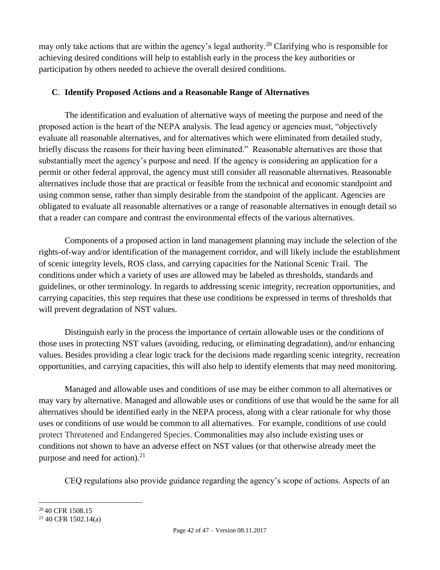may only take actions that are within the agency's legal authority.<sup>20</sup> Clarifying who is responsible for achieving desired conditions will help to establish early in the process the key authorities or participation by others needed to achieve the overall desired conditions.

## <span id="page-41-0"></span>**C**. **Identify Proposed Actions and a Reasonable Range of Alternatives**

The identification and evaluation of alternative ways of meeting the purpose and need of the proposed action is the heart of the NEPA analysis. The lead agency or agencies must, "objectively evaluate all reasonable alternatives, and for alternatives which were eliminated from detailed study, briefly discuss the reasons for their having been eliminated." Reasonable alternatives are those that substantially meet the agency's purpose and need. If the agency is considering an application for a permit or other federal approval, the agency must still consider all reasonable alternatives. Reasonable alternatives include those that are practical or feasible from the technical and economic standpoint and using common sense, rather than simply desirable from the standpoint of the applicant. Agencies are obligated to evaluate all reasonable alternatives or a range of reasonable alternatives in enough detail so that a reader can compare and contrast the environmental effects of the various alternatives.

Components of a proposed action in land management planning may include the selection of the rights-of-way and/or identification of the management corridor, and will likely include the establishment of scenic integrity levels, ROS class, and carrying capacities for the National Scenic Trail. The conditions under which a variety of uses are allowed may be labeled as thresholds, standards and guidelines, or other terminology. In regards to addressing scenic integrity, recreation opportunities, and carrying capacities, this step requires that these use conditions be expressed in terms of thresholds that will prevent degradation of NST values.

Distinguish early in the process the importance of certain allowable uses or the conditions of those uses in protecting NST values (avoiding, reducing, or eliminating degradation), and/or enhancing values. Besides providing a clear logic track for the decisions made regarding scenic integrity, recreation opportunities, and carrying capacities, this will also help to identify elements that may need monitoring.

Managed and allowable uses and conditions of use may be either common to all alternatives or may vary by alternative. Managed and allowable uses or conditions of use that would be the same for all alternatives should be identified early in the NEPA process, along with a clear rationale for why those uses or conditions of use would be common to all alternatives. For example, conditions of use could protect Threatened and Endangered Species. Commonalities may also include existing uses or conditions not shown to have an adverse effect on NST values (or that otherwise already meet the purpose and need for action). $2<sup>1</sup>$ 

CEQ regulations also provide guidance regarding the agency's scope of actions. Aspects of an

 $\overline{a}$ 

<sup>&</sup>lt;sup>20</sup> 40 CFR 1508.15

 $21$  40 CFR 1502.14(a)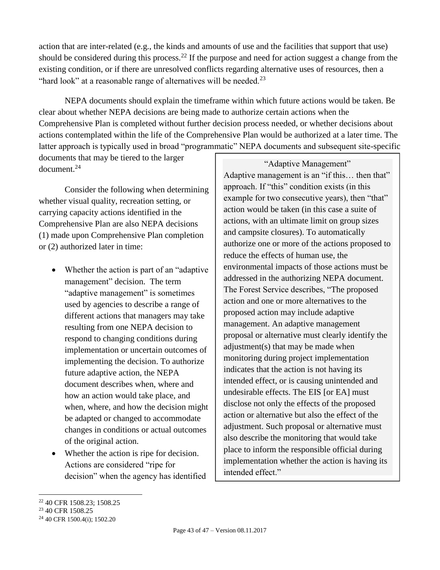action that are inter-related (e.g., the kinds and amounts of use and the facilities that support that use) should be considered during this process.<sup>22</sup> If the purpose and need for action suggest a change from the existing condition, or if there are unresolved conflicts regarding alternative uses of resources, then a "hard look" at a reasonable range of alternatives will be needed.<sup>23</sup>

NEPA documents should explain the timeframe within which future actions would be taken. Be clear about whether NEPA decisions are being made to authorize certain actions when the Comprehensive Plan is completed without further decision process needed, or whether decisions about actions contemplated within the life of the Comprehensive Plan would be authorized at a later time. The latter approach is typically used in broad "programmatic" NEPA documents and subsequent site-specific

documents that may be tiered to the larger document.<sup>24</sup>

Consider the following when determining whether visual quality, recreation setting, or carrying capacity actions identified in the Comprehensive Plan are also NEPA decisions (1) made upon Comprehensive Plan completion or (2) authorized later in time:

- Whether the action is part of an "adaptive" management" decision. The term "adaptive management" is sometimes used by agencies to describe a range of different actions that managers may take resulting from one NEPA decision to respond to changing conditions during implementation or uncertain outcomes of implementing the decision. To authorize future adaptive action, the NEPA document describes when, where and how an action would take place, and when, where, and how the decision might be adapted or changed to accommodate changes in conditions or actual outcomes of the original action.
- Whether the action is ripe for decision. Actions are considered "ripe for decision" when the agency has identified

"Adaptive Management"

Adaptive management is an "if this… then that" approach. If "this" condition exists (in this example for two consecutive years), then "that" action would be taken (in this case a suite of actions, with an ultimate limit on group sizes and campsite closures). To automatically authorize one or more of the actions proposed to reduce the effects of human use, the environmental impacts of those actions must be addressed in the authorizing NEPA document. The Forest Service describes, "The proposed action and one or more alternatives to the proposed action may include adaptive management. An adaptive management proposal or alternative must clearly identify the adjustment(s) that may be made when monitoring during project implementation indicates that the action is not having its intended effect, or is causing unintended and undesirable effects. The EIS [or EA] must disclose not only the effects of the proposed action or alternative but also the effect of the adjustment. Such proposal or alternative must also describe the monitoring that would take place to inform the responsible official during implementation whether the action is having its intended effect."

 $\overline{a}$ 

<sup>22</sup> 40 CFR 1508.23; 1508.25

<sup>23</sup> 40 CFR 1508.25

<sup>24</sup> 40 CFR 1500.4(i); 1502.20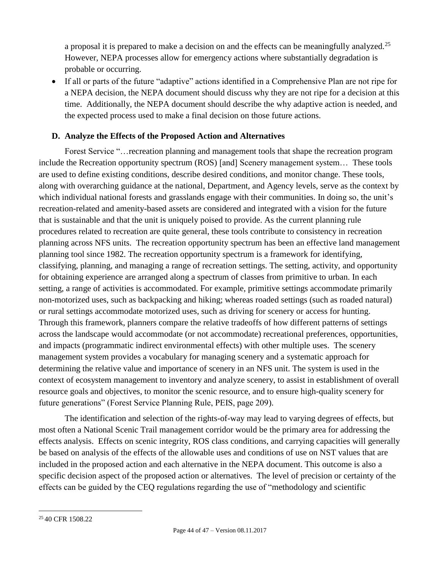a proposal it is prepared to make a decision on and the effects can be meaningfully analyzed.<sup>25</sup> However, NEPA processes allow for emergency actions where substantially degradation is probable or occurring.

 If all or parts of the future "adaptive" actions identified in a Comprehensive Plan are not ripe for a NEPA decision, the NEPA document should discuss why they are not ripe for a decision at this time. Additionally, the NEPA document should describe the why adaptive action is needed, and the expected process used to make a final decision on those future actions.

## <span id="page-43-0"></span>**D. Analyze the Effects of the Proposed Action and Alternatives**

Forest Service "…recreation planning and management tools that shape the recreation program include the Recreation opportunity spectrum (ROS) [and] Scenery management system… These tools are used to define existing conditions, describe desired conditions, and monitor change. These tools, along with overarching guidance at the national, Department, and Agency levels, serve as the context by which individual national forests and grasslands engage with their communities. In doing so, the unit's recreation-related and amenity-based assets are considered and integrated with a vision for the future that is sustainable and that the unit is uniquely poised to provide. As the current planning rule procedures related to recreation are quite general, these tools contribute to consistency in recreation planning across NFS units. The recreation opportunity spectrum has been an effective land management planning tool since 1982. The recreation opportunity spectrum is a framework for identifying, classifying, planning, and managing a range of recreation settings. The setting, activity, and opportunity for obtaining experience are arranged along a spectrum of classes from primitive to urban. In each setting, a range of activities is accommodated. For example, primitive settings accommodate primarily non-motorized uses, such as backpacking and hiking; whereas roaded settings (such as roaded natural) or rural settings accommodate motorized uses, such as driving for scenery or access for hunting. Through this framework, planners compare the relative tradeoffs of how different patterns of settings across the landscape would accommodate (or not accommodate) recreational preferences, opportunities, and impacts (programmatic indirect environmental effects) with other multiple uses. The scenery management system provides a vocabulary for managing scenery and a systematic approach for determining the relative value and importance of scenery in an NFS unit. The system is used in the context of ecosystem management to inventory and analyze scenery, to assist in establishment of overall resource goals and objectives, to monitor the scenic resource, and to ensure high-quality scenery for future generations" (Forest Service Planning Rule, PEIS, page 209).

The identification and selection of the rights-of-way may lead to varying degrees of effects, but most often a National Scenic Trail management corridor would be the primary area for addressing the effects analysis. Effects on scenic integrity, ROS class conditions, and carrying capacities will generally be based on analysis of the effects of the allowable uses and conditions of use on NST values that are included in the proposed action and each alternative in the NEPA document. This outcome is also a specific decision aspect of the proposed action or alternatives. The level of precision or certainty of the effects can be guided by the CEQ regulations regarding the use of "methodology and scientific

 $\overline{a}$ <sup>25</sup> 40 CFR 1508.22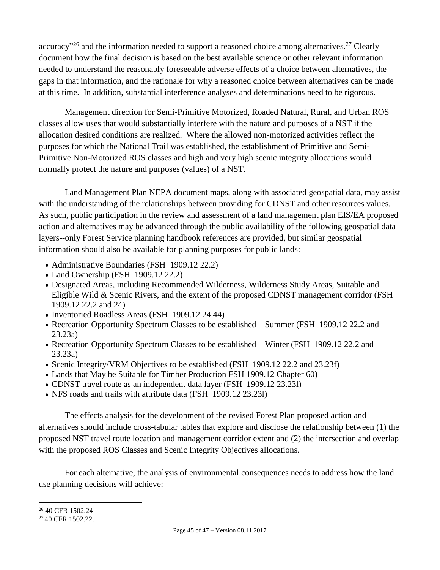accuracy"<sup>26</sup> and the information needed to support a reasoned choice among alternatives.<sup>27</sup> Clearly document how the final decision is based on the best available science or other relevant information needed to understand the reasonably foreseeable adverse effects of a choice between alternatives, the gaps in that information, and the rationale for why a reasoned choice between alternatives can be made at this time. In addition, substantial interference analyses and determinations need to be rigorous.

Management direction for Semi-Primitive Motorized, Roaded Natural, Rural, and Urban ROS classes allow uses that would substantially interfere with the nature and purposes of a NST if the allocation desired conditions are realized. Where the allowed non-motorized activities reflect the purposes for which the National Trail was established, the establishment of Primitive and Semi-Primitive Non-Motorized ROS classes and high and very high scenic integrity allocations would normally protect the nature and purposes (values) of a NST.

Land Management Plan NEPA document maps, along with associated geospatial data, may assist with the understanding of the relationships between providing for CDNST and other resources values. As such, public participation in the review and assessment of a land management plan EIS/EA proposed action and alternatives may be advanced through the public availability of the following geospatial data layers--only Forest Service planning handbook references are provided, but similar geospatial information should also be available for planning purposes for public lands:

- Administrative Boundaries (FSH 1909.12 22.2)
- Land Ownership (FSH 1909.12 22.2)
- Designated Areas, including Recommended Wilderness, Wilderness Study Areas, Suitable and Eligible Wild & Scenic Rivers, and the extent of the proposed CDNST management corridor (FSH 1909.12 22.2 and 24)
- Inventoried Roadless Areas (FSH 1909.12 24.44)
- Recreation Opportunity Spectrum Classes to be established Summer (FSH 1909.12 22.2 and 23.23a)
- Recreation Opportunity Spectrum Classes to be established Winter (FSH 1909.12 22.2 and 23.23a)
- Scenic Integrity/VRM Objectives to be established (FSH 1909.12 22.2 and 23.23f)
- Lands that May be Suitable for Timber Production FSH 1909.12 Chapter 60)
- CDNST travel route as an independent data layer (FSH 1909.12 23.231)
- NFS roads and trails with attribute data (FSH 1909.12 23.23l)

The effects analysis for the development of the revised Forest Plan proposed action and alternatives should include cross-tabular tables that explore and disclose the relationship between (1) the proposed NST travel route location and management corridor extent and (2) the intersection and overlap with the proposed ROS Classes and Scenic Integrity Objectives allocations.

For each alternative, the analysis of environmental consequences needs to address how the land use planning decisions will achieve:

 $\overline{a}$ 

<sup>26</sup> 40 CFR 1502.24

<sup>&</sup>lt;sup>27</sup> 40 CFR 1502.22.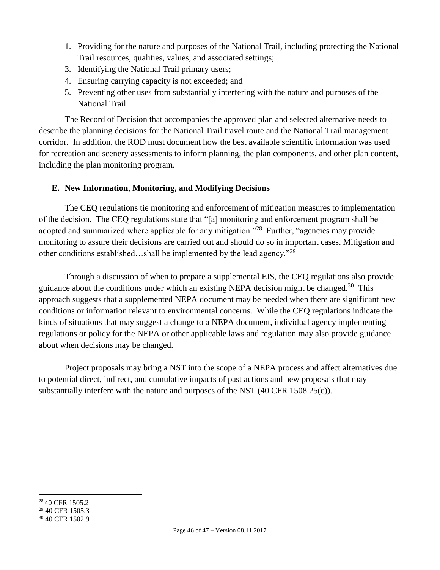- 1. Providing for the nature and purposes of the National Trail, including protecting the National Trail resources, qualities, values, and associated settings;
- 3. Identifying the National Trail primary users;
- 4. Ensuring carrying capacity is not exceeded; and
- 5. Preventing other uses from substantially interfering with the nature and purposes of the National Trail.

The Record of Decision that accompanies the approved plan and selected alternative needs to describe the planning decisions for the National Trail travel route and the National Trail management corridor. In addition, the ROD must document how the best available scientific information was used for recreation and scenery assessments to inform planning, the plan components, and other plan content, including the plan monitoring program.

## <span id="page-45-0"></span>**E. New Information, Monitoring, and Modifying Decisions**

The CEQ regulations tie monitoring and enforcement of mitigation measures to implementation of the decision. The CEQ regulations state that "[a] monitoring and enforcement program shall be adopted and summarized where applicable for any mitigation."<sup>28</sup> Further, "agencies may provide monitoring to assure their decisions are carried out and should do so in important cases. Mitigation and other conditions established…shall be implemented by the lead agency."<sup>29</sup>

Through a discussion of when to prepare a supplemental EIS, the CEQ regulations also provide guidance about the conditions under which an existing NEPA decision might be changed.<sup>30</sup> This approach suggests that a supplemented NEPA document may be needed when there are significant new conditions or information relevant to environmental concerns. While the CEQ regulations indicate the kinds of situations that may suggest a change to a NEPA document, individual agency implementing regulations or policy for the NEPA or other applicable laws and regulation may also provide guidance about when decisions may be changed.

<span id="page-45-1"></span>Project proposals may bring a NST into the scope of a NEPA process and affect alternatives due to potential direct, indirect, and cumulative impacts of past actions and new proposals that may substantially interfere with the nature and purposes of the NST (40 CFR 1508.25(c)).

 $\overline{a}$ <sup>28</sup> 40 CFR 1505.2

<sup>29</sup> 40 CFR 1505.3

<sup>30</sup> 40 CFR 1502.9